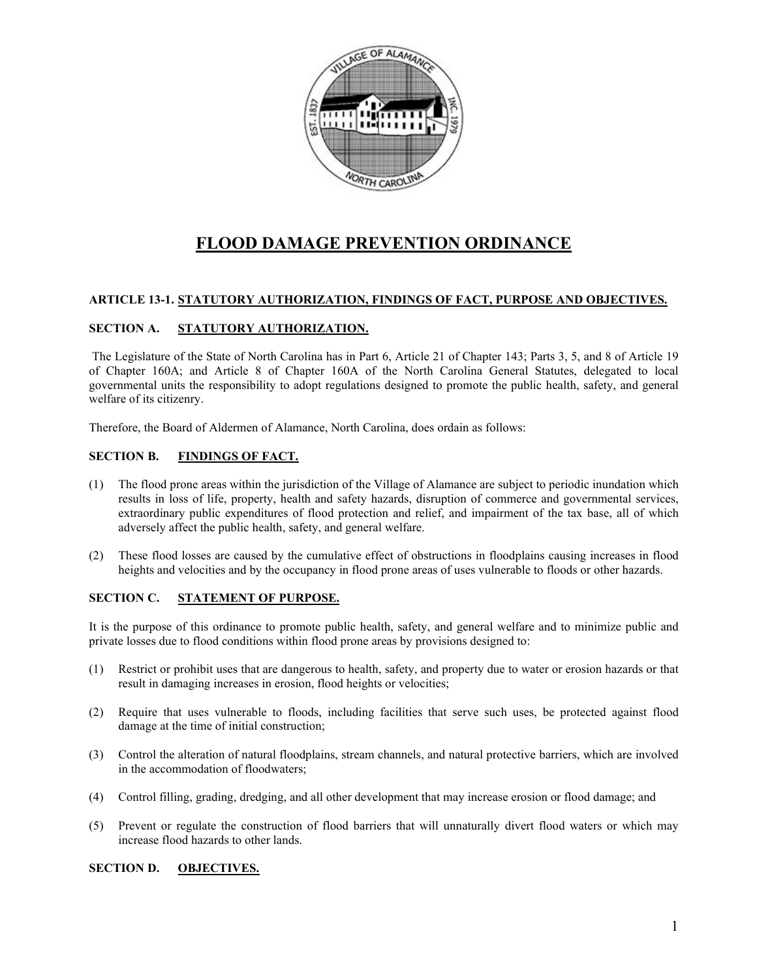

# **FLOOD DAMAGE PREVENTION ORDINANCE**

# **ARTICLE 13-1. STATUTORY AUTHORIZATION, FINDINGS OF FACT, PURPOSE AND OBJECTIVES.**

# **SECTION A. STATUTORY AUTHORIZATION.**

The Legislature of the State of North Carolina has in Part 6, Article 21 of Chapter 143; Parts 3, 5, and 8 of Article 19 of Chapter 160A; and Article 8 of Chapter 160A of the North Carolina General Statutes, delegated to local governmental units the responsibility to adopt regulations designed to promote the public health, safety, and general welfare of its citizenry.

Therefore, the Board of Aldermen of Alamance, North Carolina, does ordain as follows:

# **SECTION B. FINDINGS OF FACT.**

- (1) The flood prone areas within the jurisdiction of the Village of Alamance are subject to periodic inundation which results in loss of life, property, health and safety hazards, disruption of commerce and governmental services, extraordinary public expenditures of flood protection and relief, and impairment of the tax base, all of which adversely affect the public health, safety, and general welfare.
- (2) These flood losses are caused by the cumulative effect of obstructions in floodplains causing increases in flood heights and velocities and by the occupancy in flood prone areas of uses vulnerable to floods or other hazards.

# **SECTION C. STATEMENT OF PURPOSE.**

It is the purpose of this ordinance to promote public health, safety, and general welfare and to minimize public and private losses due to flood conditions within flood prone areas by provisions designed to:

- (1) Restrict or prohibit uses that are dangerous to health, safety, and property due to water or erosion hazards or that result in damaging increases in erosion, flood heights or velocities;
- (2) Require that uses vulnerable to floods, including facilities that serve such uses, be protected against flood damage at the time of initial construction;
- (3) Control the alteration of natural floodplains, stream channels, and natural protective barriers, which are involved in the accommodation of floodwaters;
- (4) Control filling, grading, dredging, and all other development that may increase erosion or flood damage; and
- (5) Prevent or regulate the construction of flood barriers that will unnaturally divert flood waters or which may increase flood hazards to other lands.

# **SECTION D. OBJECTIVES.**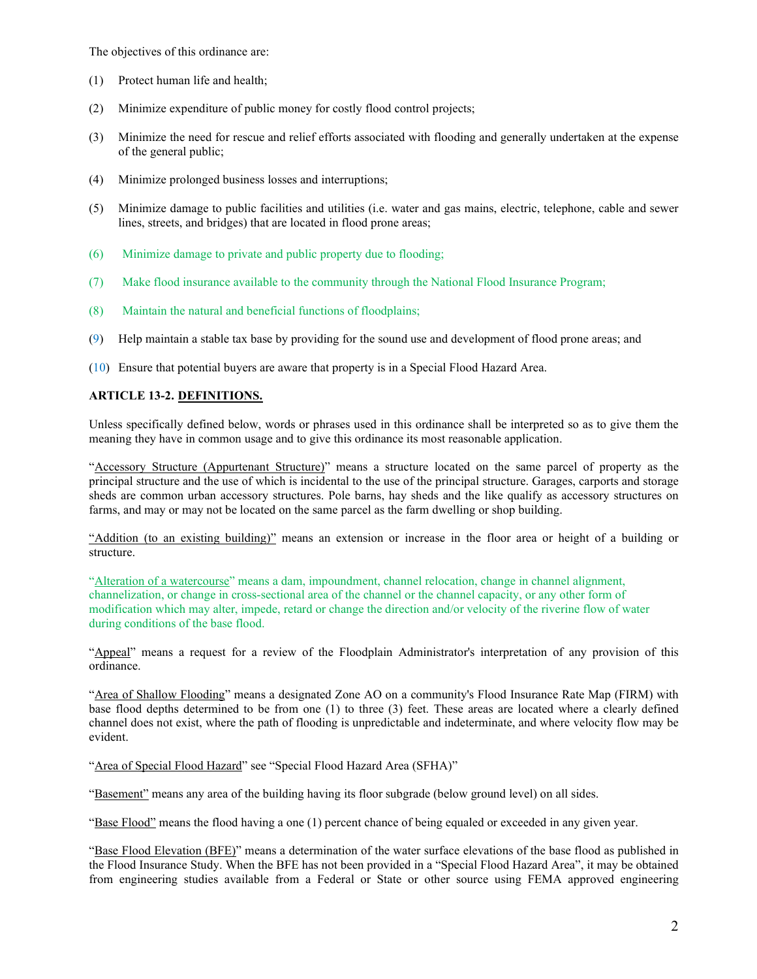The objectives of this ordinance are:

- (1) Protect human life and health;
- (2) Minimize expenditure of public money for costly flood control projects;
- (3) Minimize the need for rescue and relief efforts associated with flooding and generally undertaken at the expense of the general public;
- (4) Minimize prolonged business losses and interruptions;
- (5) Minimize damage to public facilities and utilities (i.e. water and gas mains, electric, telephone, cable and sewer lines, streets, and bridges) that are located in flood prone areas;
- (6) Minimize damage to private and public property due to flooding;
- (7) Make flood insurance available to the community through the National Flood Insurance Program;
- (8) Maintain the natural and beneficial functions of floodplains;
- (9) Help maintain a stable tax base by providing for the sound use and development of flood prone areas; and

(10) Ensure that potential buyers are aware that property is in a Special Flood Hazard Area.

# **ARTICLE 13-2. DEFINITIONS.**

Unless specifically defined below, words or phrases used in this ordinance shall be interpreted so as to give them the meaning they have in common usage and to give this ordinance its most reasonable application.

"Accessory Structure (Appurtenant Structure)" means a structure located on the same parcel of property as the principal structure and the use of which is incidental to the use of the principal structure. Garages, carports and storage sheds are common urban accessory structures. Pole barns, hay sheds and the like qualify as accessory structures on farms, and may or may not be located on the same parcel as the farm dwelling or shop building.

"Addition (to an existing building)" means an extension or increase in the floor area or height of a building or structure.

"Alteration of a watercourse" means a dam, impoundment, channel relocation, change in channel alignment, channelization, or change in cross-sectional area of the channel or the channel capacity, or any other form of modification which may alter, impede, retard or change the direction and/or velocity of the riverine flow of water during conditions of the base flood.

"Appeal" means a request for a review of the Floodplain Administrator's interpretation of any provision of this ordinance.

"Area of Shallow Flooding" means a designated Zone AO on a community's Flood Insurance Rate Map (FIRM) with base flood depths determined to be from one (1) to three (3) feet. These areas are located where a clearly defined channel does not exist, where the path of flooding is unpredictable and indeterminate, and where velocity flow may be evident.

"Area of Special Flood Hazard" see "Special Flood Hazard Area (SFHA)"

"Basement" means any area of the building having its floor subgrade (below ground level) on all sides.

"Base Flood" means the flood having a one (1) percent chance of being equaled or exceeded in any given year.

"Base Flood Elevation (BFE)" means a determination of the water surface elevations of the base flood as published in the Flood Insurance Study. When the BFE has not been provided in a "Special Flood Hazard Area", it may be obtained from engineering studies available from a Federal or State or other source using FEMA approved engineering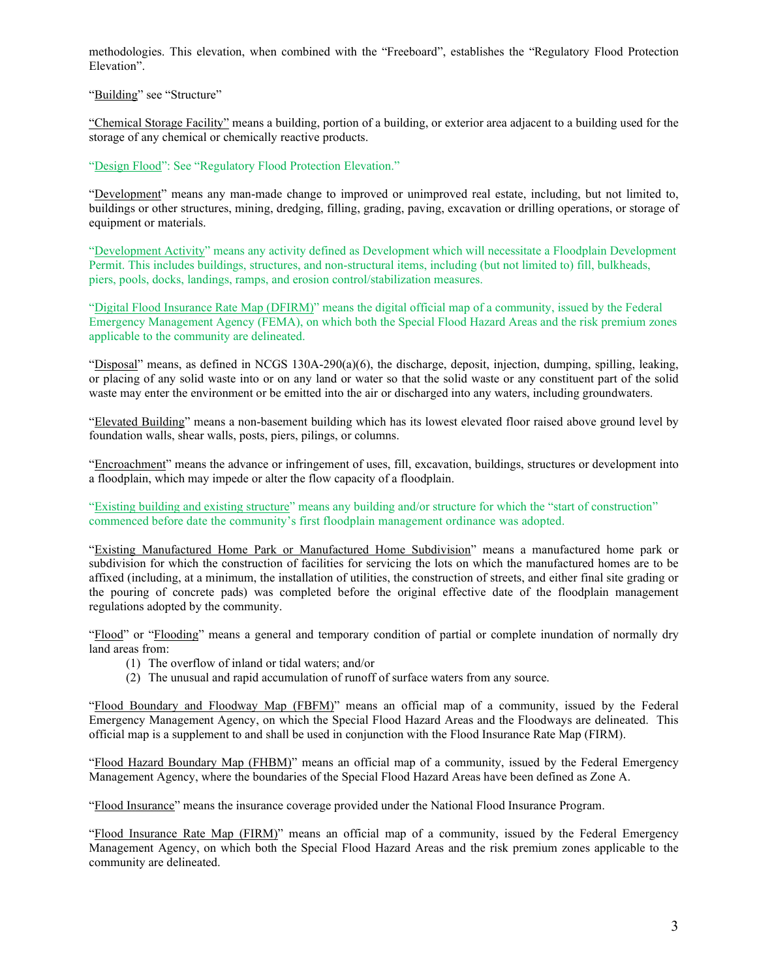methodologies. This elevation, when combined with the "Freeboard", establishes the "Regulatory Flood Protection Elevation".

"Building" see "Structure"

"Chemical Storage Facility" means a building, portion of a building, or exterior area adjacent to a building used for the storage of any chemical or chemically reactive products.

"Design Flood": See "Regulatory Flood Protection Elevation."

"Development" means any man-made change to improved or unimproved real estate, including, but not limited to, buildings or other structures, mining, dredging, filling, grading, paving, excavation or drilling operations, or storage of equipment or materials.

"Development Activity" means any activity defined as Development which will necessitate a Floodplain Development Permit. This includes buildings, structures, and non-structural items, including (but not limited to) fill, bulkheads, piers, pools, docks, landings, ramps, and erosion control/stabilization measures.

"Digital Flood Insurance Rate Map (DFIRM)" means the digital official map of a community, issued by the Federal Emergency Management Agency (FEMA), on which both the Special Flood Hazard Areas and the risk premium zones applicable to the community are delineated.

"Disposal" means, as defined in NCGS 130A-290(a)(6), the discharge, deposit, injection, dumping, spilling, leaking, or placing of any solid waste into or on any land or water so that the solid waste or any constituent part of the solid waste may enter the environment or be emitted into the air or discharged into any waters, including groundwaters.

"Elevated Building" means a non-basement building which has its lowest elevated floor raised above ground level by foundation walls, shear walls, posts, piers, pilings, or columns.

"Encroachment" means the advance or infringement of uses, fill, excavation, buildings, structures or development into a floodplain, which may impede or alter the flow capacity of a floodplain.

"Existing building and existing structure" means any building and/or structure for which the "start of construction" commenced before date the community's first floodplain management ordinance was adopted.

"Existing Manufactured Home Park or Manufactured Home Subdivision" means a manufactured home park or subdivision for which the construction of facilities for servicing the lots on which the manufactured homes are to be affixed (including, at a minimum, the installation of utilities, the construction of streets, and either final site grading or the pouring of concrete pads) was completed before the original effective date of the floodplain management regulations adopted by the community.

"Flood" or "Flooding" means a general and temporary condition of partial or complete inundation of normally dry land areas from:

- (1) The overflow of inland or tidal waters; and/or
- (2) The unusual and rapid accumulation of runoff of surface waters from any source.

"Flood Boundary and Floodway Map (FBFM)" means an official map of a community, issued by the Federal Emergency Management Agency, on which the Special Flood Hazard Areas and the Floodways are delineated. This official map is a supplement to and shall be used in conjunction with the Flood Insurance Rate Map (FIRM).

"Flood Hazard Boundary Map (FHBM)" means an official map of a community, issued by the Federal Emergency Management Agency, where the boundaries of the Special Flood Hazard Areas have been defined as Zone A.

"Flood Insurance" means the insurance coverage provided under the National Flood Insurance Program.

"Flood Insurance Rate Map (FIRM)" means an official map of a community, issued by the Federal Emergency Management Agency, on which both the Special Flood Hazard Areas and the risk premium zones applicable to the community are delineated.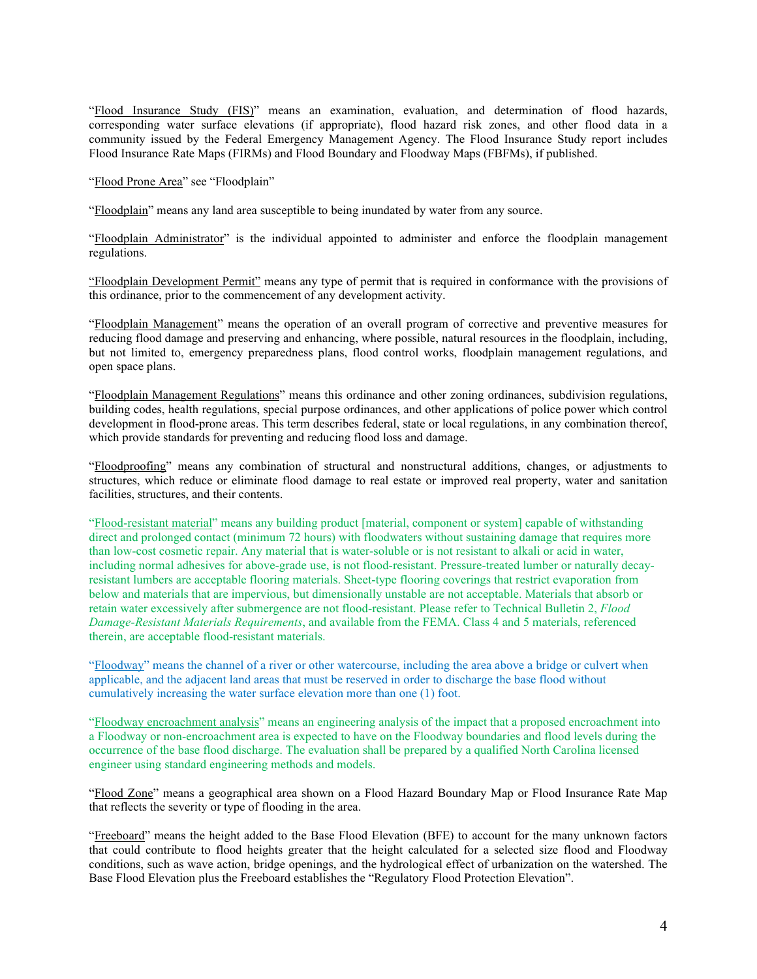"Flood Insurance Study (FIS)" means an examination, evaluation, and determination of flood hazards, corresponding water surface elevations (if appropriate), flood hazard risk zones, and other flood data in a community issued by the Federal Emergency Management Agency. The Flood Insurance Study report includes Flood Insurance Rate Maps (FIRMs) and Flood Boundary and Floodway Maps (FBFMs), if published.

"Flood Prone Area" see "Floodplain"

"Floodplain" means any land area susceptible to being inundated by water from any source.

"Floodplain Administrator" is the individual appointed to administer and enforce the floodplain management regulations.

"Floodplain Development Permit" means any type of permit that is required in conformance with the provisions of this ordinance, prior to the commencement of any development activity.

"Floodplain Management" means the operation of an overall program of corrective and preventive measures for reducing flood damage and preserving and enhancing, where possible, natural resources in the floodplain, including, but not limited to, emergency preparedness plans, flood control works, floodplain management regulations, and open space plans.

"Floodplain Management Regulations" means this ordinance and other zoning ordinances, subdivision regulations, building codes, health regulations, special purpose ordinances, and other applications of police power which control development in flood-prone areas. This term describes federal, state or local regulations, in any combination thereof, which provide standards for preventing and reducing flood loss and damage.

"Floodproofing" means any combination of structural and nonstructural additions, changes, or adjustments to structures, which reduce or eliminate flood damage to real estate or improved real property, water and sanitation facilities, structures, and their contents.

"Flood-resistant material" means any building product [material, component or system] capable of withstanding direct and prolonged contact (minimum 72 hours) with floodwaters without sustaining damage that requires more than low-cost cosmetic repair. Any material that is water-soluble or is not resistant to alkali or acid in water, including normal adhesives for above-grade use, is not flood-resistant. Pressure-treated lumber or naturally decayresistant lumbers are acceptable flooring materials. Sheet-type flooring coverings that restrict evaporation from below and materials that are impervious, but dimensionally unstable are not acceptable. Materials that absorb or retain water excessively after submergence are not flood-resistant. Please refer to Technical Bulletin 2, *Flood Damage-Resistant Materials Requirements*, and available from the FEMA. Class 4 and 5 materials, referenced therein, are acceptable flood-resistant materials.

"Floodway" means the channel of a river or other watercourse, including the area above a bridge or culvert when applicable, and the adjacent land areas that must be reserved in order to discharge the base flood without cumulatively increasing the water surface elevation more than one (1) foot.

"Floodway encroachment analysis" means an engineering analysis of the impact that a proposed encroachment into a Floodway or non-encroachment area is expected to have on the Floodway boundaries and flood levels during the occurrence of the base flood discharge. The evaluation shall be prepared by a qualified North Carolina licensed engineer using standard engineering methods and models.

"Flood Zone" means a geographical area shown on a Flood Hazard Boundary Map or Flood Insurance Rate Map that reflects the severity or type of flooding in the area.

"Freeboard" means the height added to the Base Flood Elevation (BFE) to account for the many unknown factors that could contribute to flood heights greater that the height calculated for a selected size flood and Floodway conditions, such as wave action, bridge openings, and the hydrological effect of urbanization on the watershed. The Base Flood Elevation plus the Freeboard establishes the "Regulatory Flood Protection Elevation".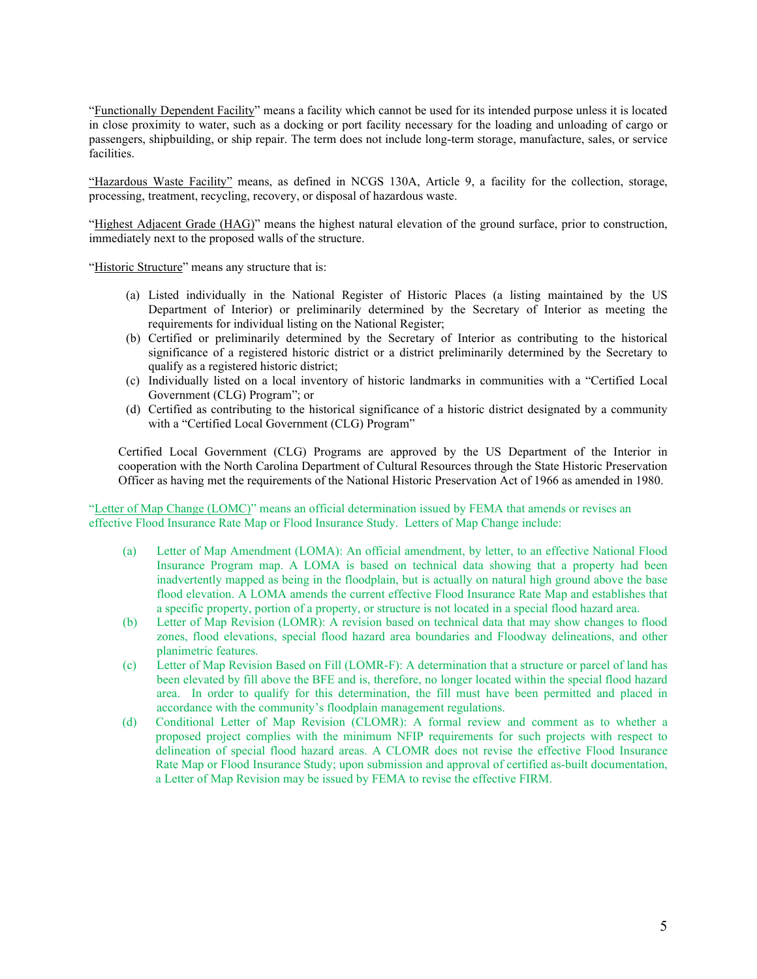"Functionally Dependent Facility" means a facility which cannot be used for its intended purpose unless it is located in close proximity to water, such as a docking or port facility necessary for the loading and unloading of cargo or passengers, shipbuilding, or ship repair. The term does not include long-term storage, manufacture, sales, or service facilities.

"Hazardous Waste Facility" means, as defined in NCGS 130A, Article 9, a facility for the collection, storage, processing, treatment, recycling, recovery, or disposal of hazardous waste.

"Highest Adjacent Grade (HAG)" means the highest natural elevation of the ground surface, prior to construction, immediately next to the proposed walls of the structure.

"Historic Structure" means any structure that is:

- (a) Listed individually in the National Register of Historic Places (a listing maintained by the US Department of Interior) or preliminarily determined by the Secretary of Interior as meeting the requirements for individual listing on the National Register;
- (b) Certified or preliminarily determined by the Secretary of Interior as contributing to the historical significance of a registered historic district or a district preliminarily determined by the Secretary to qualify as a registered historic district;
- (c) Individually listed on a local inventory of historic landmarks in communities with a "Certified Local Government (CLG) Program"; or
- (d) Certified as contributing to the historical significance of a historic district designated by a community with a "Certified Local Government (CLG) Program"

Certified Local Government (CLG) Programs are approved by the US Department of the Interior in cooperation with the North Carolina Department of Cultural Resources through the State Historic Preservation Officer as having met the requirements of the National Historic Preservation Act of 1966 as amended in 1980.

"Letter of Map Change (LOMC)" means an official determination issued by FEMA that amends or revises an effective Flood Insurance Rate Map or Flood Insurance Study. Letters of Map Change include:

- (a) Letter of Map Amendment (LOMA): An official amendment, by letter, to an effective National Flood Insurance Program map. A LOMA is based on technical data showing that a property had been inadvertently mapped as being in the floodplain, but is actually on natural high ground above the base flood elevation. A LOMA amends the current effective Flood Insurance Rate Map and establishes that a specific property, portion of a property, or structure is not located in a special flood hazard area.
- (b) Letter of Map Revision (LOMR): A revision based on technical data that may show changes to flood zones, flood elevations, special flood hazard area boundaries and Floodway delineations, and other planimetric features.
- (c) Letter of Map Revision Based on Fill (LOMR-F): A determination that a structure or parcel of land has been elevated by fill above the BFE and is, therefore, no longer located within the special flood hazard area. In order to qualify for this determination, the fill must have been permitted and placed in accordance with the community's floodplain management regulations.
- (d) Conditional Letter of Map Revision (CLOMR): A formal review and comment as to whether a proposed project complies with the minimum NFIP requirements for such projects with respect to delineation of special flood hazard areas. A CLOMR does not revise the effective Flood Insurance Rate Map or Flood Insurance Study; upon submission and approval of certified as-built documentation, a Letter of Map Revision may be issued by FEMA to revise the effective FIRM.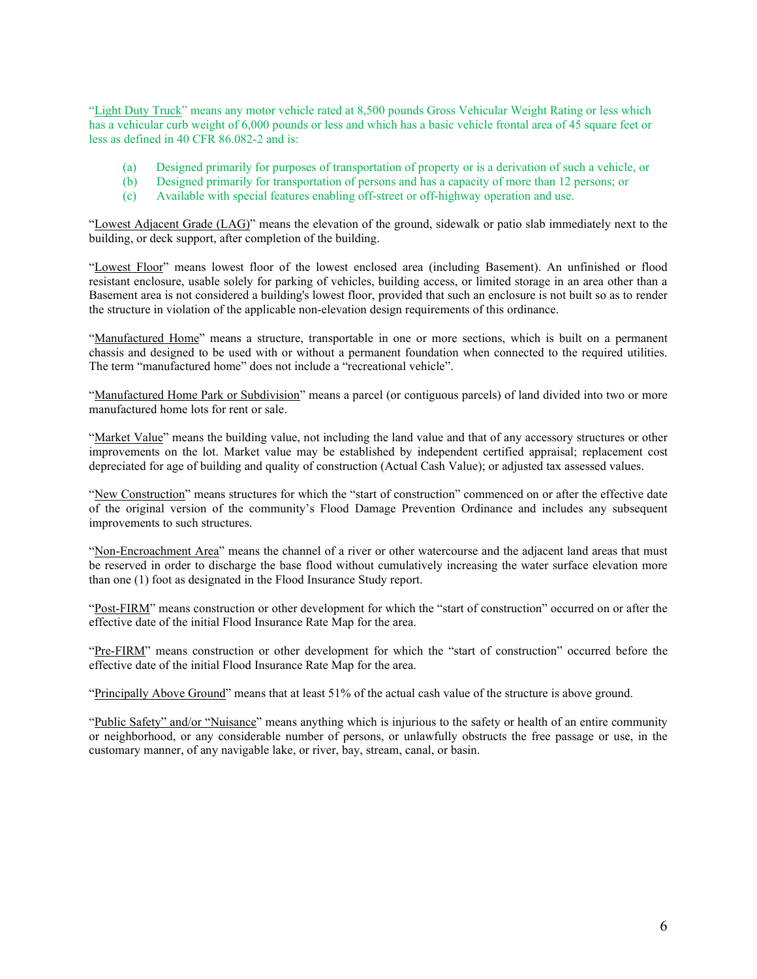"Light Duty Truck" means any motor vehicle rated at 8,500 pounds Gross Vehicular Weight Rating or less which has a vehicular curb weight of 6,000 pounds or less and which has a basic vehicle frontal area of 45 square feet or less as defined in 40 CFR 86.082-2 and is:

- (a) Designed primarily for purposes of transportation of property or is a derivation of such a vehicle, or
- (b) Designed primarily for transportation of persons and has a capacity of more than 12 persons; or
- (c) Available with special features enabling off-street or off-highway operation and use.

"Lowest Adjacent Grade (LAG)" means the elevation of the ground, sidewalk or patio slab immediately next to the building, or deck support, after completion of the building.

"Lowest Floor" means lowest floor of the lowest enclosed area (including Basement). An unfinished or flood resistant enclosure, usable solely for parking of vehicles, building access, or limited storage in an area other than a Basement area is not considered a building's lowest floor, provided that such an enclosure is not built so as to render the structure in violation of the applicable non-elevation design requirements of this ordinance.

"Manufactured Home" means a structure, transportable in one or more sections, which is built on a permanent chassis and designed to be used with or without a permanent foundation when connected to the required utilities. The term "manufactured home" does not include a "recreational vehicle".

"Manufactured Home Park or Subdivision" means a parcel (or contiguous parcels) of land divided into two or more manufactured home lots for rent or sale.

"Market Value" means the building value, not including the land value and that of any accessory structures or other improvements on the lot. Market value may be established by independent certified appraisal; replacement cost depreciated for age of building and quality of construction (Actual Cash Value); or adjusted tax assessed values.

"New Construction" means structures for which the "start of construction" commenced on or after the effective date of the original version of the community's Flood Damage Prevention Ordinance and includes any subsequent improvements to such structures.

"Non-Encroachment Area" means the channel of a river or other watercourse and the adjacent land areas that must be reserved in order to discharge the base flood without cumulatively increasing the water surface elevation more than one (1) foot as designated in the Flood Insurance Study report.

"Post-FIRM" means construction or other development for which the "start of construction" occurred on or after the effective date of the initial Flood Insurance Rate Map for the area.

"Pre-FIRM" means construction or other development for which the "start of construction" occurred before the effective date of the initial Flood Insurance Rate Map for the area.

"Principally Above Ground" means that at least 51% of the actual cash value of the structure is above ground.

"Public Safety" and/or "Nuisance" means anything which is injurious to the safety or health of an entire community or neighborhood, or any considerable number of persons, or unlawfully obstructs the free passage or use, in the customary manner, of any navigable lake, or river, bay, stream, canal, or basin.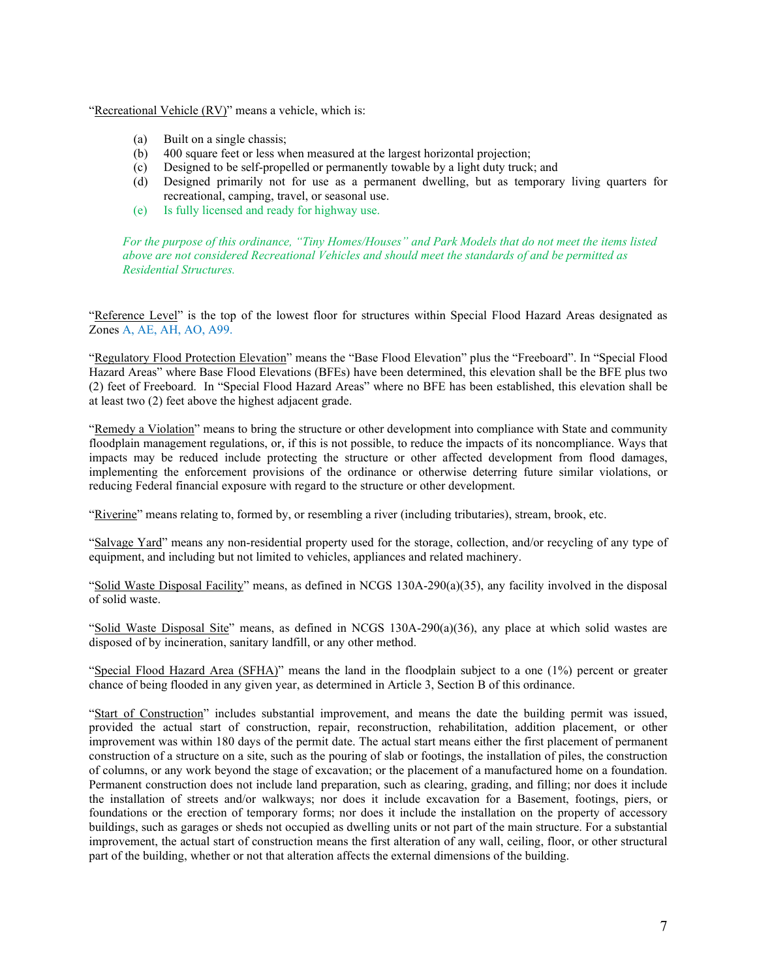"Recreational Vehicle (RV)" means a vehicle, which is:

- (a) Built on a single chassis;
- (b) 400 square feet or less when measured at the largest horizontal projection;
- (c) Designed to be self-propelled or permanently towable by a light duty truck; and
- (d) Designed primarily not for use as a permanent dwelling, but as temporary living quarters for recreational, camping, travel, or seasonal use.
- (e) Is fully licensed and ready for highway use.

*For the purpose of this ordinance, "Tiny Homes/Houses" and Park Models that do not meet the items listed above are not considered Recreational Vehicles and should meet the standards of and be permitted as Residential Structures.*

"Reference Level" is the top of the lowest floor for structures within Special Flood Hazard Areas designated as Zones A, AE, AH, AO, A99.

"Regulatory Flood Protection Elevation" means the "Base Flood Elevation" plus the "Freeboard". In "Special Flood Hazard Areas" where Base Flood Elevations (BFEs) have been determined, this elevation shall be the BFE plus two (2) feet of Freeboard. In "Special Flood Hazard Areas" where no BFE has been established, this elevation shall be at least two (2) feet above the highest adjacent grade.

"Remedy a Violation" means to bring the structure or other development into compliance with State and community floodplain management regulations, or, if this is not possible, to reduce the impacts of its noncompliance. Ways that impacts may be reduced include protecting the structure or other affected development from flood damages, implementing the enforcement provisions of the ordinance or otherwise deterring future similar violations, or reducing Federal financial exposure with regard to the structure or other development.

"Riverine" means relating to, formed by, or resembling a river (including tributaries), stream, brook, etc.

"Salvage Yard" means any non-residential property used for the storage, collection, and/or recycling of any type of equipment, and including but not limited to vehicles, appliances and related machinery.

"Solid Waste Disposal Facility" means, as defined in NCGS 130A-290(a)(35), any facility involved in the disposal of solid waste.

"Solid Waste Disposal Site" means, as defined in NCGS 130A-290(a)(36), any place at which solid wastes are disposed of by incineration, sanitary landfill, or any other method.

"Special Flood Hazard Area (SFHA)" means the land in the floodplain subject to a one (1%) percent or greater chance of being flooded in any given year, as determined in Article 3, Section B of this ordinance.

"Start of Construction" includes substantial improvement, and means the date the building permit was issued, provided the actual start of construction, repair, reconstruction, rehabilitation, addition placement, or other improvement was within 180 days of the permit date. The actual start means either the first placement of permanent construction of a structure on a site, such as the pouring of slab or footings, the installation of piles, the construction of columns, or any work beyond the stage of excavation; or the placement of a manufactured home on a foundation. Permanent construction does not include land preparation, such as clearing, grading, and filling; nor does it include the installation of streets and/or walkways; nor does it include excavation for a Basement, footings, piers, or foundations or the erection of temporary forms; nor does it include the installation on the property of accessory buildings, such as garages or sheds not occupied as dwelling units or not part of the main structure. For a substantial improvement, the actual start of construction means the first alteration of any wall, ceiling, floor, or other structural part of the building, whether or not that alteration affects the external dimensions of the building.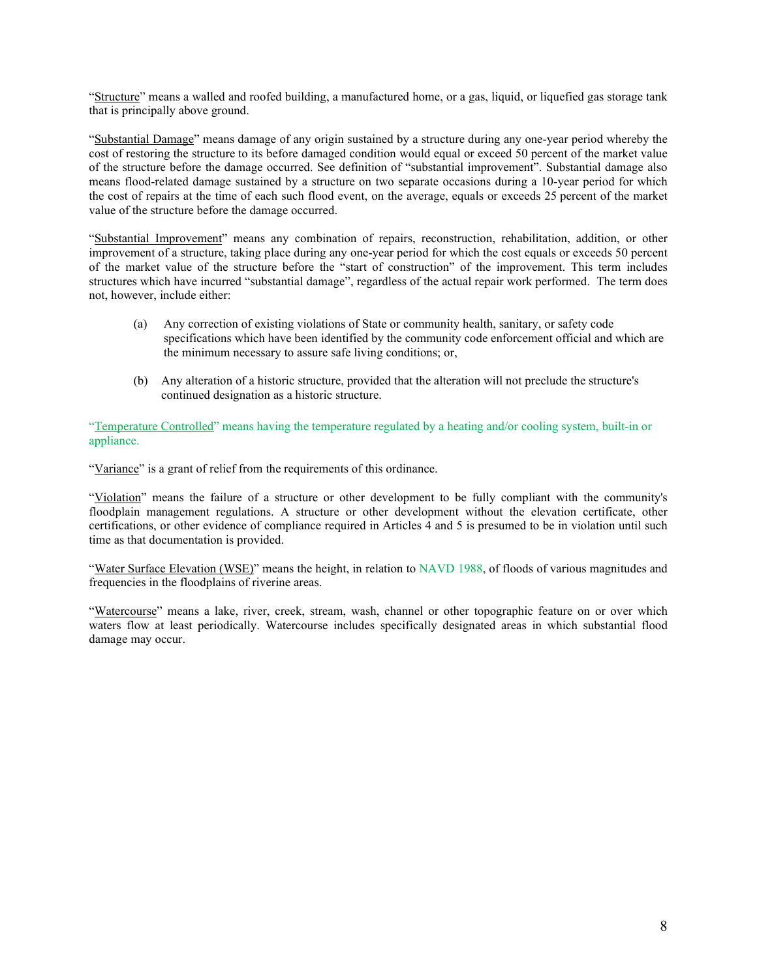"Structure" means a walled and roofed building, a manufactured home, or a gas, liquid, or liquefied gas storage tank that is principally above ground.

"Substantial Damage" means damage of any origin sustained by a structure during any one-year period whereby the cost of restoring the structure to its before damaged condition would equal or exceed 50 percent of the market value of the structure before the damage occurred. See definition of "substantial improvement". Substantial damage also means flood-related damage sustained by a structure on two separate occasions during a 10-year period for which the cost of repairs at the time of each such flood event, on the average, equals or exceeds 25 percent of the market value of the structure before the damage occurred.

"Substantial Improvement" means any combination of repairs, reconstruction, rehabilitation, addition, or other improvement of a structure, taking place during any one-year period for which the cost equals or exceeds 50 percent of the market value of the structure before the "start of construction" of the improvement. This term includes structures which have incurred "substantial damage", regardless of the actual repair work performed. The term does not, however, include either:

- (a) Any correction of existing violations of State or community health, sanitary, or safety code specifications which have been identified by the community code enforcement official and which are the minimum necessary to assure safe living conditions; or,
- (b) Any alteration of a historic structure, provided that the alteration will not preclude the structure's continued designation as a historic structure.

"Temperature Controlled" means having the temperature regulated by a heating and/or cooling system, built-in or appliance.

"Variance" is a grant of relief from the requirements of this ordinance.

"Violation" means the failure of a structure or other development to be fully compliant with the community's floodplain management regulations. A structure or other development without the elevation certificate, other certifications, or other evidence of compliance required in Articles 4 and 5 is presumed to be in violation until such time as that documentation is provided.

"Water Surface Elevation (WSE)" means the height, in relation to NAVD 1988, of floods of various magnitudes and frequencies in the floodplains of riverine areas.

"Watercourse" means a lake, river, creek, stream, wash, channel or other topographic feature on or over which waters flow at least periodically. Watercourse includes specifically designated areas in which substantial flood damage may occur.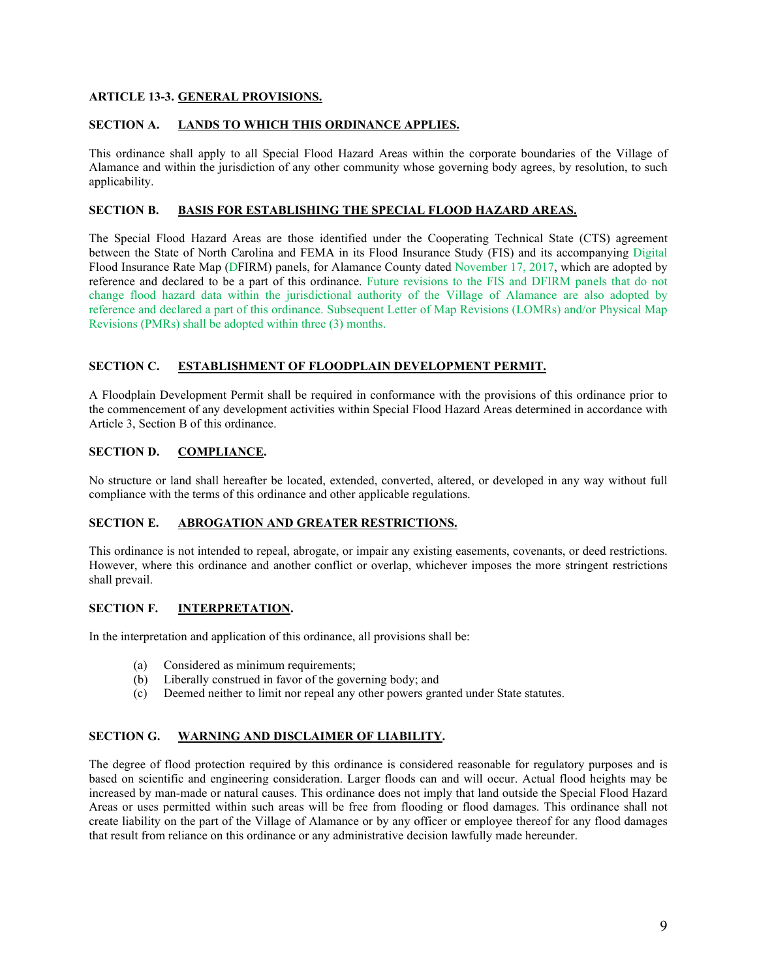# **ARTICLE 13-3. GENERAL PROVISIONS.**

# **SECTION A. LANDS TO WHICH THIS ORDINANCE APPLIES.**

This ordinance shall apply to all Special Flood Hazard Areas within the corporate boundaries of the Village of Alamance and within the jurisdiction of any other community whose governing body agrees, by resolution, to such applicability.

# **SECTION B. BASIS FOR ESTABLISHING THE SPECIAL FLOOD HAZARD AREAS.**

The Special Flood Hazard Areas are those identified under the Cooperating Technical State (CTS) agreement between the State of North Carolina and FEMA in its Flood Insurance Study (FIS) and its accompanying Digital Flood Insurance Rate Map (DFIRM) panels, for Alamance County dated November 17, 2017, which are adopted by reference and declared to be a part of this ordinance. Future revisions to the FIS and DFIRM panels that do not change flood hazard data within the jurisdictional authority of the Village of Alamance are also adopted by reference and declared a part of this ordinance. Subsequent Letter of Map Revisions (LOMRs) and/or Physical Map Revisions (PMRs) shall be adopted within three (3) months.

# **SECTION C. ESTABLISHMENT OF FLOODPLAIN DEVELOPMENT PERMIT.**

A Floodplain Development Permit shall be required in conformance with the provisions of this ordinance prior to the commencement of any development activities within Special Flood Hazard Areas determined in accordance with Article 3, Section B of this ordinance.

# **SECTION D. COMPLIANCE.**

No structure or land shall hereafter be located, extended, converted, altered, or developed in any way without full compliance with the terms of this ordinance and other applicable regulations.

# **SECTION E. ABROGATION AND GREATER RESTRICTIONS.**

This ordinance is not intended to repeal, abrogate, or impair any existing easements, covenants, or deed restrictions. However, where this ordinance and another conflict or overlap, whichever imposes the more stringent restrictions shall prevail.

# **SECTION F. INTERPRETATION.**

In the interpretation and application of this ordinance, all provisions shall be:

- (a) Considered as minimum requirements;
- (b) Liberally construed in favor of the governing body; and
- (c) Deemed neither to limit nor repeal any other powers granted under State statutes.

# **SECTION G. WARNING AND DISCLAIMER OF LIABILITY.**

The degree of flood protection required by this ordinance is considered reasonable for regulatory purposes and is based on scientific and engineering consideration. Larger floods can and will occur. Actual flood heights may be increased by man-made or natural causes. This ordinance does not imply that land outside the Special Flood Hazard Areas or uses permitted within such areas will be free from flooding or flood damages. This ordinance shall not create liability on the part of the Village of Alamance or by any officer or employee thereof for any flood damages that result from reliance on this ordinance or any administrative decision lawfully made hereunder.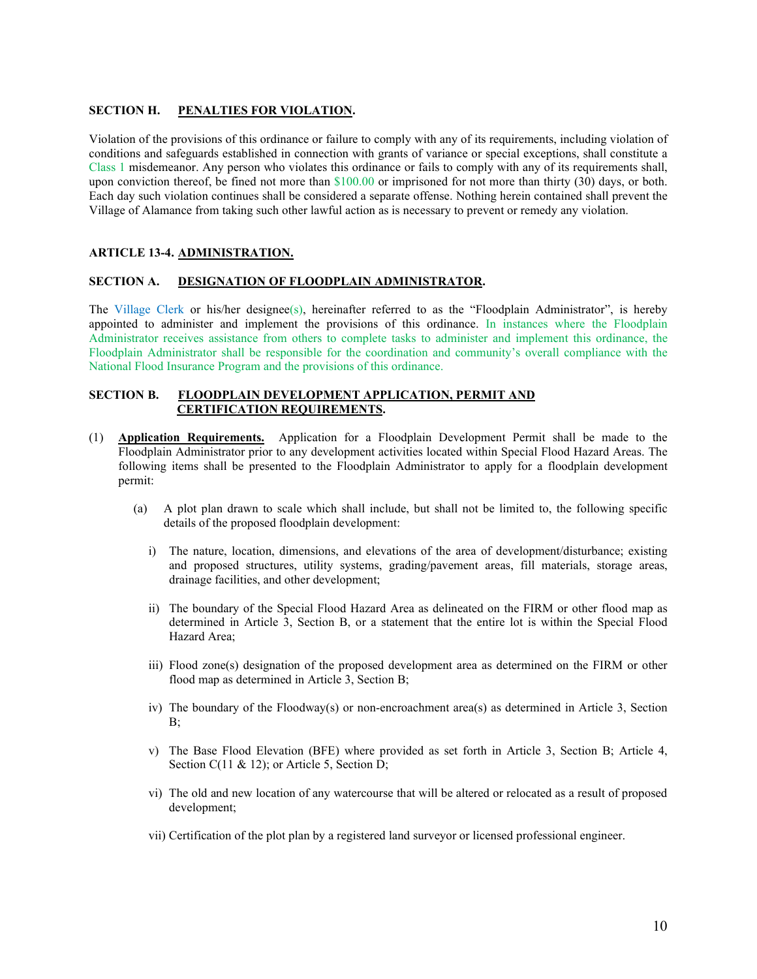#### **SECTION H. PENALTIES FOR VIOLATION.**

Violation of the provisions of this ordinance or failure to comply with any of its requirements, including violation of conditions and safeguards established in connection with grants of variance or special exceptions, shall constitute a Class 1 misdemeanor. Any person who violates this ordinance or fails to comply with any of its requirements shall, upon conviction thereof, be fined not more than  $$100.00$  or imprisoned for not more than thirty (30) days, or both. Each day such violation continues shall be considered a separate offense. Nothing herein contained shall prevent the Village of Alamance from taking such other lawful action as is necessary to prevent or remedy any violation.

# **ARTICLE 13-4. ADMINISTRATION.**

# **SECTION A. DESIGNATION OF FLOODPLAIN ADMINISTRATOR.**

The Village Clerk or his/her designee(s), hereinafter referred to as the "Floodplain Administrator", is hereby appointed to administer and implement the provisions of this ordinance. In instances where the Floodplain Administrator receives assistance from others to complete tasks to administer and implement this ordinance, the Floodplain Administrator shall be responsible for the coordination and community's overall compliance with the National Flood Insurance Program and the provisions of this ordinance.

# **SECTION B. FLOODPLAIN DEVELOPMENT APPLICATION, PERMIT AND CERTIFICATION REQUIREMENTS.**

- (1) **Application Requirements.** Application for a Floodplain Development Permit shall be made to the Floodplain Administrator prior to any development activities located within Special Flood Hazard Areas. The following items shall be presented to the Floodplain Administrator to apply for a floodplain development permit:
	- (a) A plot plan drawn to scale which shall include, but shall not be limited to, the following specific details of the proposed floodplain development:
		- i) The nature, location, dimensions, and elevations of the area of development/disturbance; existing and proposed structures, utility systems, grading/pavement areas, fill materials, storage areas, drainage facilities, and other development;
		- ii) The boundary of the Special Flood Hazard Area as delineated on the FIRM or other flood map as determined in Article 3, Section B, or a statement that the entire lot is within the Special Flood Hazard Area;
		- iii) Flood zone(s) designation of the proposed development area as determined on the FIRM or other flood map as determined in Article 3, Section B;
		- iv) The boundary of the Floodway(s) or non-encroachment area(s) as determined in Article 3, Section B;
		- v) The Base Flood Elevation (BFE) where provided as set forth in Article 3, Section B; Article 4, Section C(11 & 12); or Article 5, Section D;
		- vi) The old and new location of any watercourse that will be altered or relocated as a result of proposed development;
		- vii) Certification of the plot plan by a registered land surveyor or licensed professional engineer.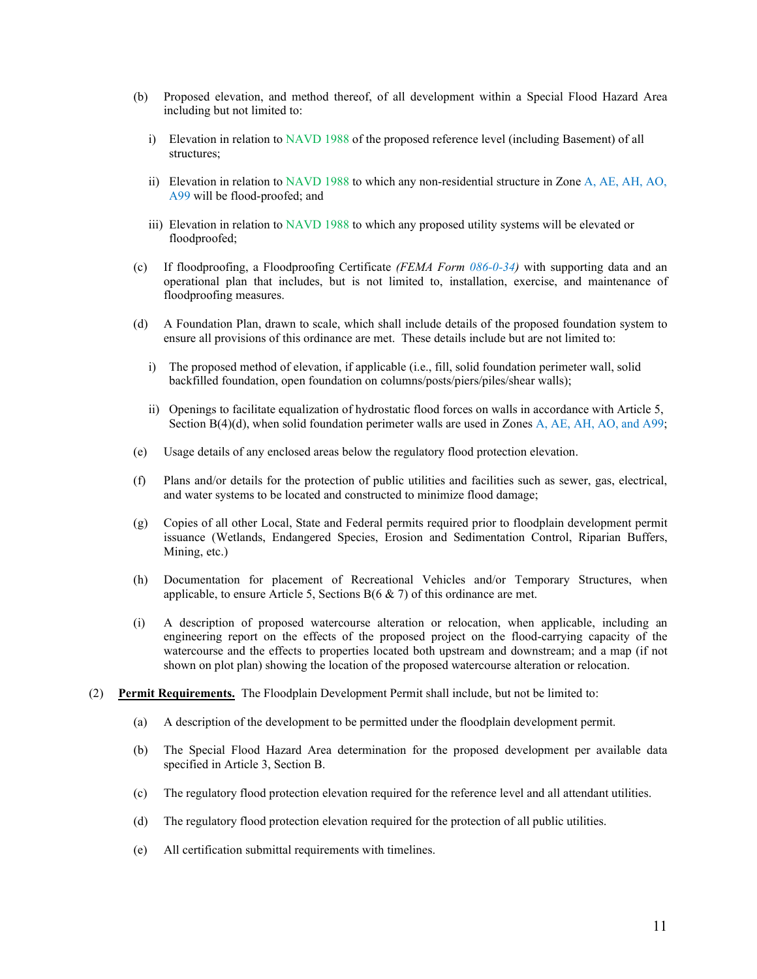- (b) Proposed elevation, and method thereof, of all development within a Special Flood Hazard Area including but not limited to:
	- i) Elevation in relation to NAVD 1988 of the proposed reference level (including Basement) of all structures;
	- ii) Elevation in relation to NAVD 1988 to which any non-residential structure in Zone A, AE, AH, AO, A99 will be flood-proofed; and
	- iii) Elevation in relation to NAVD 1988 to which any proposed utility systems will be elevated or floodproofed;
- (c) If floodproofing, a Floodproofing Certificate *(FEMA Form 086-0-34)* with supporting data and an operational plan that includes, but is not limited to, installation, exercise, and maintenance of floodproofing measures.
- (d) A Foundation Plan, drawn to scale, which shall include details of the proposed foundation system to ensure all provisions of this ordinance are met. These details include but are not limited to:
	- i) The proposed method of elevation, if applicable (i.e., fill, solid foundation perimeter wall, solid backfilled foundation, open foundation on columns/posts/piers/piles/shear walls);
	- ii) Openings to facilitate equalization of hydrostatic flood forces on walls in accordance with Article 5, Section B(4)(d), when solid foundation perimeter walls are used in Zones A, AE, AH, AO, and A99;
- (e) Usage details of any enclosed areas below the regulatory flood protection elevation.
- (f) Plans and/or details for the protection of public utilities and facilities such as sewer, gas, electrical, and water systems to be located and constructed to minimize flood damage;
- (g) Copies of all other Local, State and Federal permits required prior to floodplain development permit issuance (Wetlands, Endangered Species, Erosion and Sedimentation Control, Riparian Buffers, Mining, etc.)
- (h) Documentation for placement of Recreational Vehicles and/or Temporary Structures, when applicable, to ensure Article 5, Sections  $B(6 \& 7)$  of this ordinance are met.
- (i) A description of proposed watercourse alteration or relocation, when applicable, including an engineering report on the effects of the proposed project on the flood-carrying capacity of the watercourse and the effects to properties located both upstream and downstream; and a map (if not shown on plot plan) showing the location of the proposed watercourse alteration or relocation.
- (2) **Permit Requirements.** The Floodplain Development Permit shall include, but not be limited to:
	- (a) A description of the development to be permitted under the floodplain development permit.
	- (b) The Special Flood Hazard Area determination for the proposed development per available data specified in Article 3, Section B.
	- (c) The regulatory flood protection elevation required for the reference level and all attendant utilities.
	- (d) The regulatory flood protection elevation required for the protection of all public utilities.
	- (e) All certification submittal requirements with timelines.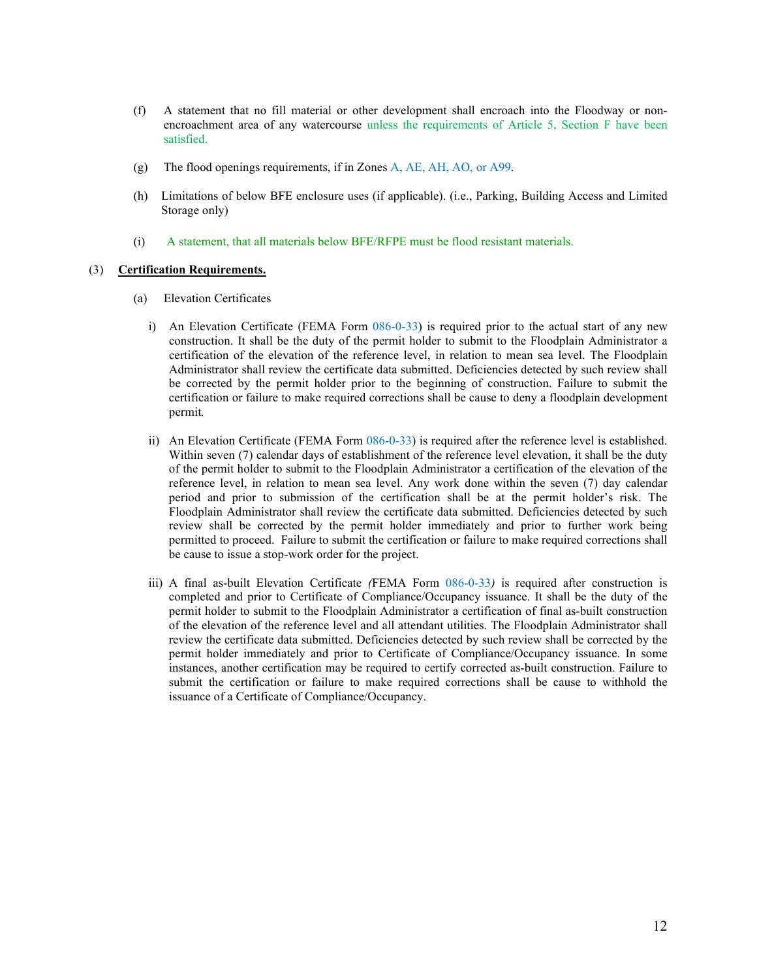- (f) A statement that no fill material or other development shall encroach into the Floodway or nonencroachment area of any watercourse unless the requirements of Article 5, Section F have been satisfied.
- (g) The flood openings requirements, if in Zones A, AE, AH, AO, or A99.
- (h) Limitations of below BFE enclosure uses (if applicable). (i.e., Parking, Building Access and Limited Storage only)
- (i) A statement, that all materials below BFE/RFPE must be flood resistant materials.

#### (3) **Certification Requirements.**

- (a) Elevation Certificates
	- i) An Elevation Certificate (FEMA Form 086-0-33) is required prior to the actual start of any new construction. It shall be the duty of the permit holder to submit to the Floodplain Administrator a certification of the elevation of the reference level, in relation to mean sea level. The Floodplain Administrator shall review the certificate data submitted. Deficiencies detected by such review shall be corrected by the permit holder prior to the beginning of construction. Failure to submit the certification or failure to make required corrections shall be cause to deny a floodplain development permit*.*
	- ii) An Elevation Certificate (FEMA Form 086-0-33) is required after the reference level is established. Within seven (7) calendar days of establishment of the reference level elevation, it shall be the duty of the permit holder to submit to the Floodplain Administrator a certification of the elevation of the reference level, in relation to mean sea level. Any work done within the seven (7) day calendar period and prior to submission of the certification shall be at the permit holder's risk. The Floodplain Administrator shall review the certificate data submitted. Deficiencies detected by such review shall be corrected by the permit holder immediately and prior to further work being permitted to proceed. Failure to submit the certification or failure to make required corrections shall be cause to issue a stop-work order for the project.
	- iii) A final as-built Elevation Certificate *(*FEMA Form 086-0-33*)* is required after construction is completed and prior to Certificate of Compliance/Occupancy issuance. It shall be the duty of the permit holder to submit to the Floodplain Administrator a certification of final as-built construction of the elevation of the reference level and all attendant utilities. The Floodplain Administrator shall review the certificate data submitted. Deficiencies detected by such review shall be corrected by the permit holder immediately and prior to Certificate of Compliance/Occupancy issuance. In some instances, another certification may be required to certify corrected as-built construction. Failure to submit the certification or failure to make required corrections shall be cause to withhold the issuance of a Certificate of Compliance/Occupancy.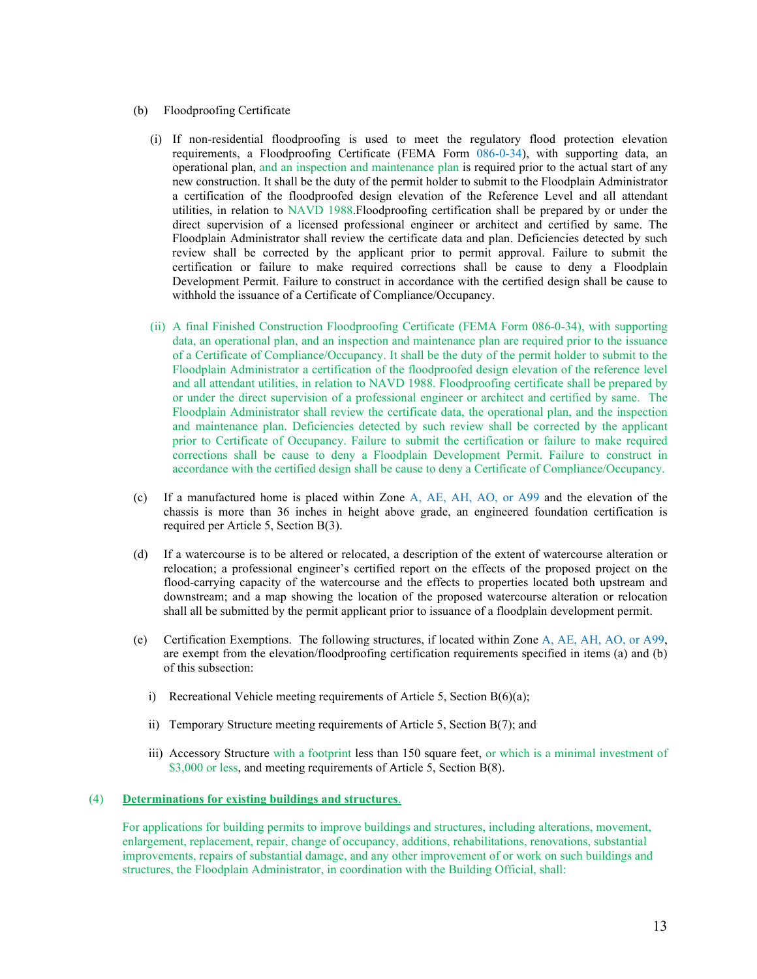#### (b) Floodproofing Certificate

- (i) If non-residential floodproofing is used to meet the regulatory flood protection elevation requirements, a Floodproofing Certificate (FEMA Form 086-0-34), with supporting data, an operational plan, and an inspection and maintenance plan is required prior to the actual start of any new construction. It shall be the duty of the permit holder to submit to the Floodplain Administrator a certification of the floodproofed design elevation of the Reference Level and all attendant utilities, in relation to NAVD 1988.Floodproofing certification shall be prepared by or under the direct supervision of a licensed professional engineer or architect and certified by same. The Floodplain Administrator shall review the certificate data and plan. Deficiencies detected by such review shall be corrected by the applicant prior to permit approval. Failure to submit the certification or failure to make required corrections shall be cause to deny a Floodplain Development Permit. Failure to construct in accordance with the certified design shall be cause to withhold the issuance of a Certificate of Compliance/Occupancy.
- (ii) A final Finished Construction Floodproofing Certificate (FEMA Form 086-0-34), with supporting data, an operational plan, and an inspection and maintenance plan are required prior to the issuance of a Certificate of Compliance/Occupancy. It shall be the duty of the permit holder to submit to the Floodplain Administrator a certification of the floodproofed design elevation of the reference level and all attendant utilities, in relation to NAVD 1988. Floodproofing certificate shall be prepared by or under the direct supervision of a professional engineer or architect and certified by same. The Floodplain Administrator shall review the certificate data, the operational plan, and the inspection and maintenance plan. Deficiencies detected by such review shall be corrected by the applicant prior to Certificate of Occupancy. Failure to submit the certification or failure to make required corrections shall be cause to deny a Floodplain Development Permit. Failure to construct in accordance with the certified design shall be cause to deny a Certificate of Compliance/Occupancy.
- (c) If a manufactured home is placed within Zone A, AE, AH, AO, or A99 and the elevation of the chassis is more than 36 inches in height above grade, an engineered foundation certification is required per Article 5, Section B(3).
- (d) If a watercourse is to be altered or relocated, a description of the extent of watercourse alteration or relocation; a professional engineer's certified report on the effects of the proposed project on the flood-carrying capacity of the watercourse and the effects to properties located both upstream and downstream; and a map showing the location of the proposed watercourse alteration or relocation shall all be submitted by the permit applicant prior to issuance of a floodplain development permit.
- (e) Certification Exemptions. The following structures, if located within Zone A, AE, AH, AO, or A99, are exempt from the elevation/floodproofing certification requirements specified in items (a) and (b) of this subsection:
	- i) Recreational Vehicle meeting requirements of Article 5, Section B(6)(a);
	- ii) Temporary Structure meeting requirements of Article 5, Section B(7); and
	- iii) Accessory Structure with a footprint less than 150 square feet, or which is a minimal investment of \$3,000 or less, and meeting requirements of Article 5, Section B(8).

#### (4) **Determinations for existing buildings and structures**.

For applications for building permits to improve buildings and structures, including alterations, movement, enlargement, replacement, repair, change of occupancy, additions, rehabilitations, renovations, substantial improvements, repairs of substantial damage, and any other improvement of or work on such buildings and structures, the Floodplain Administrator, in coordination with the Building Official, shall: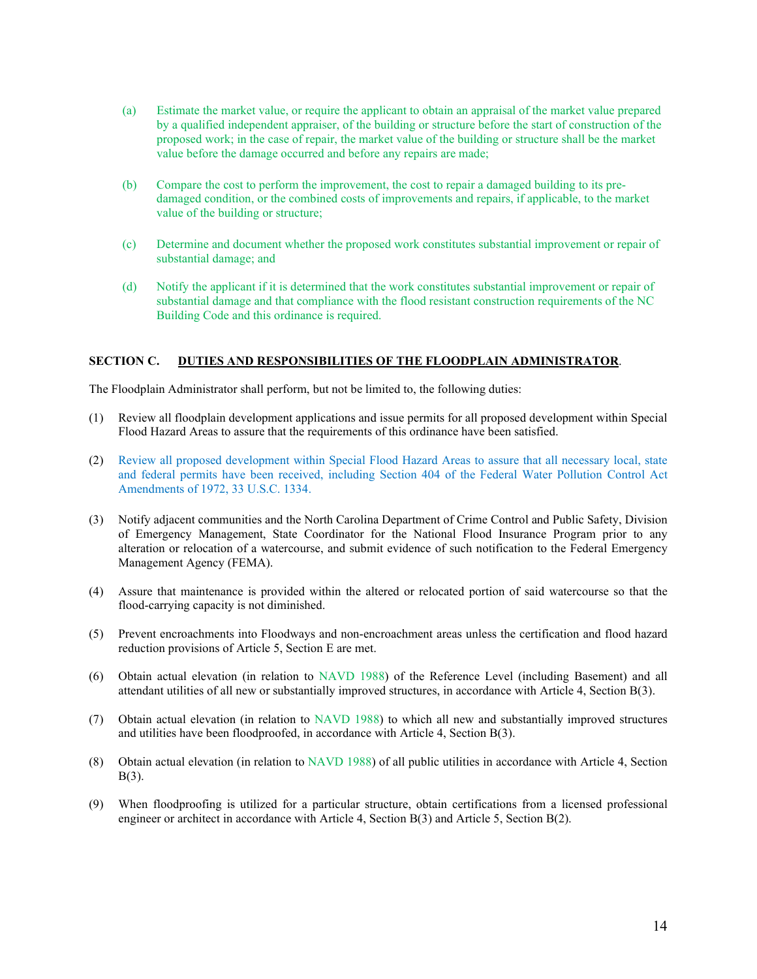- (a) Estimate the market value, or require the applicant to obtain an appraisal of the market value prepared by a qualified independent appraiser, of the building or structure before the start of construction of the proposed work; in the case of repair, the market value of the building or structure shall be the market value before the damage occurred and before any repairs are made;
- (b) Compare the cost to perform the improvement, the cost to repair a damaged building to its predamaged condition, or the combined costs of improvements and repairs, if applicable, to the market value of the building or structure;
- (c) Determine and document whether the proposed work constitutes substantial improvement or repair of substantial damage; and
- (d) Notify the applicant if it is determined that the work constitutes substantial improvement or repair of substantial damage and that compliance with the flood resistant construction requirements of the NC Building Code and this ordinance is required.

# **SECTION C. DUTIES AND RESPONSIBILITIES OF THE FLOODPLAIN ADMINISTRATOR**.

The Floodplain Administrator shall perform, but not be limited to, the following duties:

- (1) Review all floodplain development applications and issue permits for all proposed development within Special Flood Hazard Areas to assure that the requirements of this ordinance have been satisfied.
- (2) Review all proposed development within Special Flood Hazard Areas to assure that all necessary local, state and federal permits have been received, including Section 404 of the Federal Water Pollution Control Act Amendments of 1972, 33 U.S.C. 1334.
- (3) Notify adjacent communities and the North Carolina Department of Crime Control and Public Safety, Division of Emergency Management, State Coordinator for the National Flood Insurance Program prior to any alteration or relocation of a watercourse, and submit evidence of such notification to the Federal Emergency Management Agency (FEMA).
- (4) Assure that maintenance is provided within the altered or relocated portion of said watercourse so that the flood-carrying capacity is not diminished.
- (5) Prevent encroachments into Floodways and non-encroachment areas unless the certification and flood hazard reduction provisions of Article 5, Section E are met.
- (6) Obtain actual elevation (in relation to NAVD 1988) of the Reference Level (including Basement) and all attendant utilities of all new or substantially improved structures, in accordance with Article 4, Section B(3).
- (7) Obtain actual elevation (in relation to NAVD 1988) to which all new and substantially improved structures and utilities have been floodproofed, in accordance with Article 4, Section B(3).
- (8) Obtain actual elevation (in relation to NAVD 1988) of all public utilities in accordance with Article 4, Section B(3).
- (9) When floodproofing is utilized for a particular structure, obtain certifications from a licensed professional engineer or architect in accordance with Article 4, Section B(3) and Article 5, Section B(2).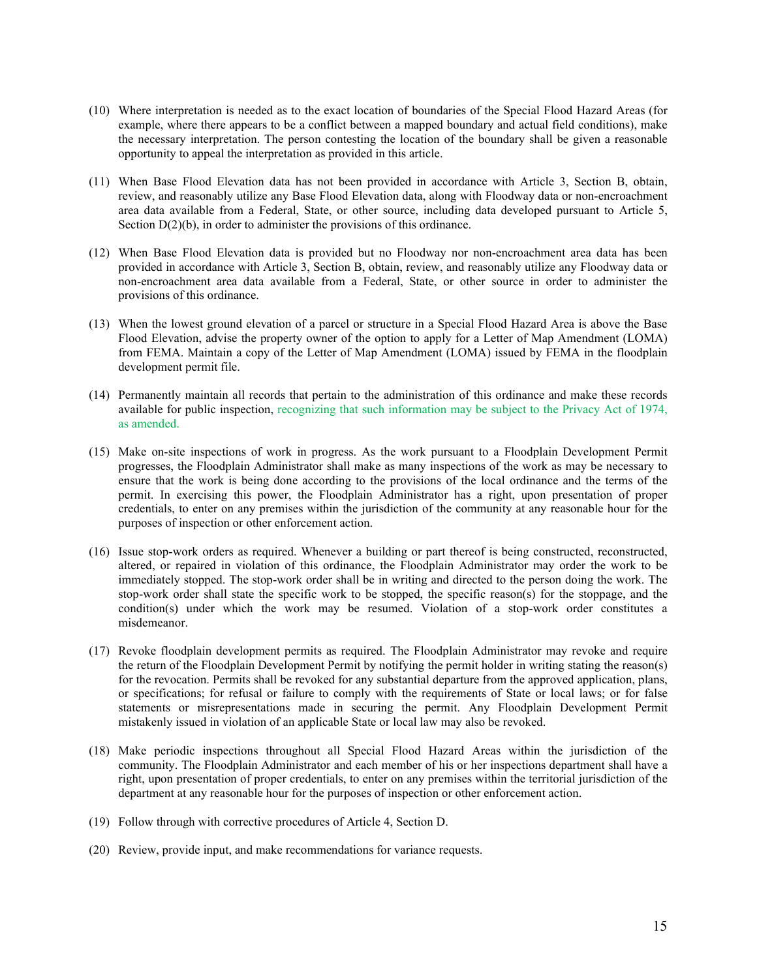- (10) Where interpretation is needed as to the exact location of boundaries of the Special Flood Hazard Areas (for example, where there appears to be a conflict between a mapped boundary and actual field conditions), make the necessary interpretation. The person contesting the location of the boundary shall be given a reasonable opportunity to appeal the interpretation as provided in this article.
- (11) When Base Flood Elevation data has not been provided in accordance with Article 3, Section B, obtain, review, and reasonably utilize any Base Flood Elevation data, along with Floodway data or non-encroachment area data available from a Federal, State, or other source, including data developed pursuant to Article 5, Section  $D(2)(b)$ , in order to administer the provisions of this ordinance.
- (12) When Base Flood Elevation data is provided but no Floodway nor non-encroachment area data has been provided in accordance with Article 3, Section B, obtain, review, and reasonably utilize any Floodway data or non-encroachment area data available from a Federal, State, or other source in order to administer the provisions of this ordinance.
- (13) When the lowest ground elevation of a parcel or structure in a Special Flood Hazard Area is above the Base Flood Elevation, advise the property owner of the option to apply for a Letter of Map Amendment (LOMA) from FEMA. Maintain a copy of the Letter of Map Amendment (LOMA) issued by FEMA in the floodplain development permit file.
- (14) Permanently maintain all records that pertain to the administration of this ordinance and make these records available for public inspection, recognizing that such information may be subject to the Privacy Act of 1974, as amended.
- (15) Make on-site inspections of work in progress. As the work pursuant to a Floodplain Development Permit progresses, the Floodplain Administrator shall make as many inspections of the work as may be necessary to ensure that the work is being done according to the provisions of the local ordinance and the terms of the permit. In exercising this power, the Floodplain Administrator has a right, upon presentation of proper credentials, to enter on any premises within the jurisdiction of the community at any reasonable hour for the purposes of inspection or other enforcement action.
- (16) Issue stop-work orders as required. Whenever a building or part thereof is being constructed, reconstructed, altered, or repaired in violation of this ordinance, the Floodplain Administrator may order the work to be immediately stopped. The stop-work order shall be in writing and directed to the person doing the work. The stop-work order shall state the specific work to be stopped, the specific reason(s) for the stoppage, and the condition(s) under which the work may be resumed. Violation of a stop-work order constitutes a misdemeanor.
- (17) Revoke floodplain development permits as required. The Floodplain Administrator may revoke and require the return of the Floodplain Development Permit by notifying the permit holder in writing stating the reason(s) for the revocation. Permits shall be revoked for any substantial departure from the approved application, plans, or specifications; for refusal or failure to comply with the requirements of State or local laws; or for false statements or misrepresentations made in securing the permit. Any Floodplain Development Permit mistakenly issued in violation of an applicable State or local law may also be revoked.
- (18) Make periodic inspections throughout all Special Flood Hazard Areas within the jurisdiction of the community. The Floodplain Administrator and each member of his or her inspections department shall have a right, upon presentation of proper credentials, to enter on any premises within the territorial jurisdiction of the department at any reasonable hour for the purposes of inspection or other enforcement action.
- (19) Follow through with corrective procedures of Article 4, Section D.
- (20) Review, provide input, and make recommendations for variance requests.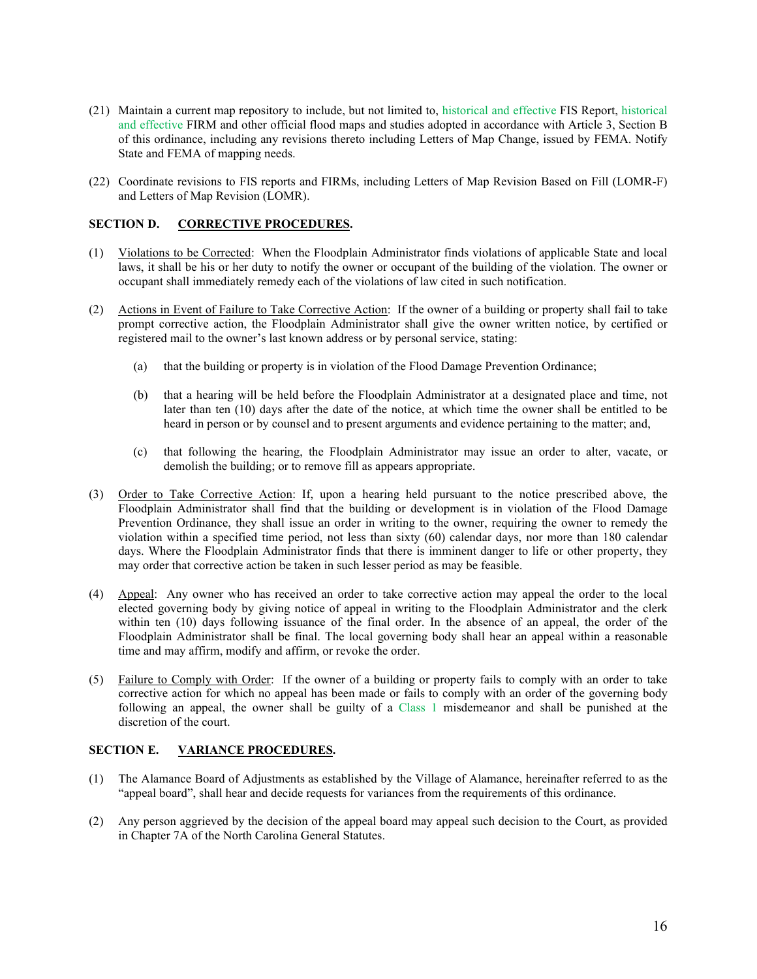- (21) Maintain a current map repository to include, but not limited to, historical and effective FIS Report, historical and effective FIRM and other official flood maps and studies adopted in accordance with Article 3, Section B of this ordinance, including any revisions thereto including Letters of Map Change, issued by FEMA. Notify State and FEMA of mapping needs.
- (22) Coordinate revisions to FIS reports and FIRMs, including Letters of Map Revision Based on Fill (LOMR-F) and Letters of Map Revision (LOMR).

# **SECTION D. CORRECTIVE PROCEDURES.**

- (1) Violations to be Corrected: When the Floodplain Administrator finds violations of applicable State and local laws, it shall be his or her duty to notify the owner or occupant of the building of the violation. The owner or occupant shall immediately remedy each of the violations of law cited in such notification.
- (2) Actions in Event of Failure to Take Corrective Action: If the owner of a building or property shall fail to take prompt corrective action, the Floodplain Administrator shall give the owner written notice, by certified or registered mail to the owner's last known address or by personal service, stating:
	- (a) that the building or property is in violation of the Flood Damage Prevention Ordinance;
	- (b) that a hearing will be held before the Floodplain Administrator at a designated place and time, not later than ten (10) days after the date of the notice, at which time the owner shall be entitled to be heard in person or by counsel and to present arguments and evidence pertaining to the matter; and,
	- (c) that following the hearing, the Floodplain Administrator may issue an order to alter, vacate, or demolish the building; or to remove fill as appears appropriate.
- (3) Order to Take Corrective Action: If, upon a hearing held pursuant to the notice prescribed above, the Floodplain Administrator shall find that the building or development is in violation of the Flood Damage Prevention Ordinance, they shall issue an order in writing to the owner, requiring the owner to remedy the violation within a specified time period, not less than sixty (60) calendar days, nor more than 180 calendar days. Where the Floodplain Administrator finds that there is imminent danger to life or other property, they may order that corrective action be taken in such lesser period as may be feasible.
- (4) Appeal: Any owner who has received an order to take corrective action may appeal the order to the local elected governing body by giving notice of appeal in writing to the Floodplain Administrator and the clerk within ten (10) days following issuance of the final order. In the absence of an appeal, the order of the Floodplain Administrator shall be final. The local governing body shall hear an appeal within a reasonable time and may affirm, modify and affirm, or revoke the order.
- (5) Failure to Comply with Order: If the owner of a building or property fails to comply with an order to take corrective action for which no appeal has been made or fails to comply with an order of the governing body following an appeal, the owner shall be guilty of a Class 1 misdemeanor and shall be punished at the discretion of the court.

#### **SECTION E. VARIANCE PROCEDURES.**

- (1) The Alamance Board of Adjustments as established by the Village of Alamance, hereinafter referred to as the "appeal board", shall hear and decide requests for variances from the requirements of this ordinance.
- (2) Any person aggrieved by the decision of the appeal board may appeal such decision to the Court, as provided in Chapter 7A of the North Carolina General Statutes.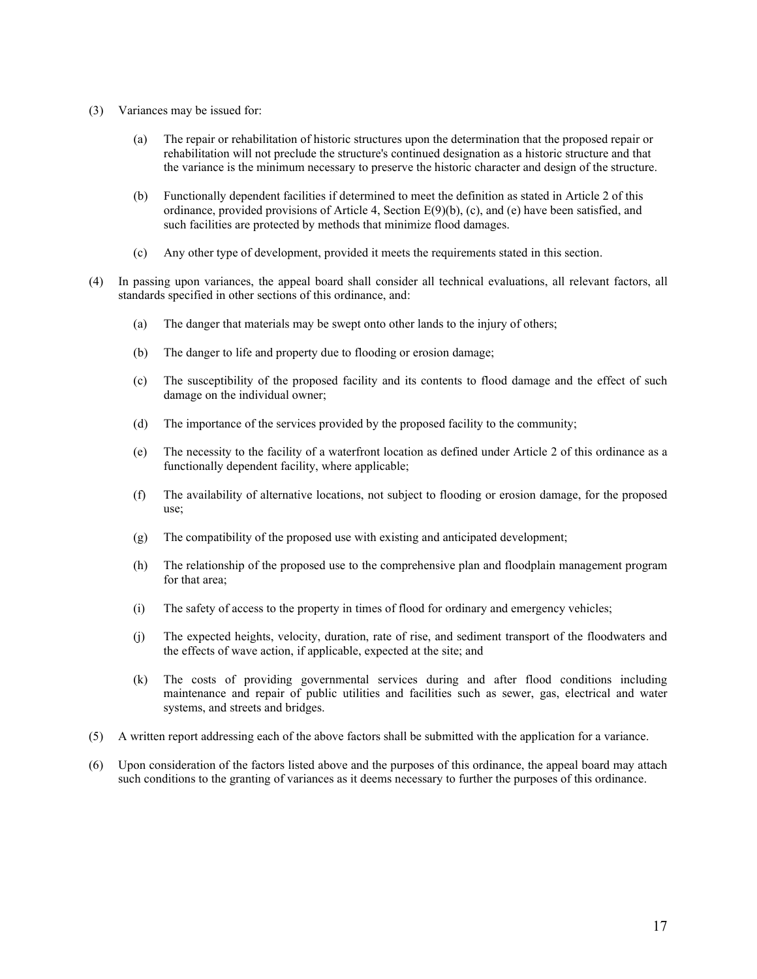- (3) Variances may be issued for:
	- (a) The repair or rehabilitation of historic structures upon the determination that the proposed repair or rehabilitation will not preclude the structure's continued designation as a historic structure and that the variance is the minimum necessary to preserve the historic character and design of the structure.
	- (b) Functionally dependent facilities if determined to meet the definition as stated in Article 2 of this ordinance, provided provisions of Article 4, Section E(9)(b), (c), and (e) have been satisfied, and such facilities are protected by methods that minimize flood damages.
	- (c) Any other type of development, provided it meets the requirements stated in this section.
- (4) In passing upon variances, the appeal board shall consider all technical evaluations, all relevant factors, all standards specified in other sections of this ordinance, and:
	- (a) The danger that materials may be swept onto other lands to the injury of others;
	- (b) The danger to life and property due to flooding or erosion damage;
	- (c) The susceptibility of the proposed facility and its contents to flood damage and the effect of such damage on the individual owner;
	- (d) The importance of the services provided by the proposed facility to the community;
	- (e) The necessity to the facility of a waterfront location as defined under Article 2 of this ordinance as a functionally dependent facility, where applicable;
	- (f) The availability of alternative locations, not subject to flooding or erosion damage, for the proposed use;
	- (g) The compatibility of the proposed use with existing and anticipated development;
	- (h) The relationship of the proposed use to the comprehensive plan and floodplain management program for that area;
	- (i) The safety of access to the property in times of flood for ordinary and emergency vehicles;
	- (j) The expected heights, velocity, duration, rate of rise, and sediment transport of the floodwaters and the effects of wave action, if applicable, expected at the site; and
	- (k) The costs of providing governmental services during and after flood conditions including maintenance and repair of public utilities and facilities such as sewer, gas, electrical and water systems, and streets and bridges.
- (5) A written report addressing each of the above factors shall be submitted with the application for a variance.
- (6) Upon consideration of the factors listed above and the purposes of this ordinance, the appeal board may attach such conditions to the granting of variances as it deems necessary to further the purposes of this ordinance.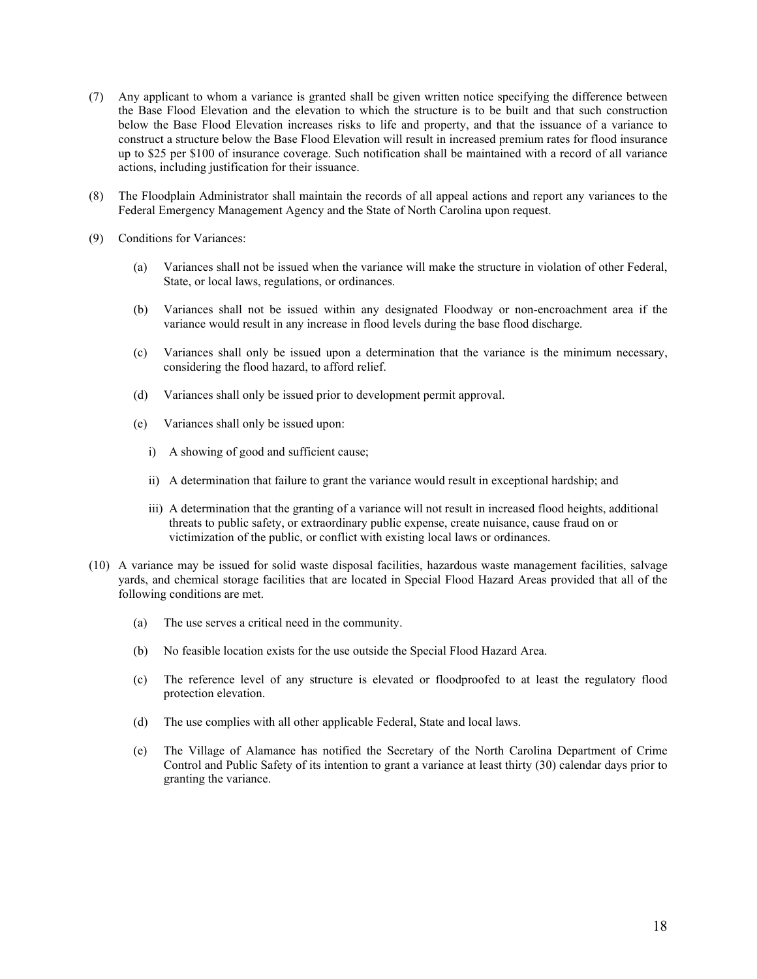- (7) Any applicant to whom a variance is granted shall be given written notice specifying the difference between the Base Flood Elevation and the elevation to which the structure is to be built and that such construction below the Base Flood Elevation increases risks to life and property, and that the issuance of a variance to construct a structure below the Base Flood Elevation will result in increased premium rates for flood insurance up to \$25 per \$100 of insurance coverage. Such notification shall be maintained with a record of all variance actions, including justification for their issuance.
- (8) The Floodplain Administrator shall maintain the records of all appeal actions and report any variances to the Federal Emergency Management Agency and the State of North Carolina upon request.
- (9) Conditions for Variances:
	- (a) Variances shall not be issued when the variance will make the structure in violation of other Federal, State, or local laws, regulations, or ordinances.
	- (b) Variances shall not be issued within any designated Floodway or non-encroachment area if the variance would result in any increase in flood levels during the base flood discharge.
	- (c) Variances shall only be issued upon a determination that the variance is the minimum necessary, considering the flood hazard, to afford relief.
	- (d) Variances shall only be issued prior to development permit approval.
	- (e) Variances shall only be issued upon:
		- i) A showing of good and sufficient cause;
		- ii) A determination that failure to grant the variance would result in exceptional hardship; and
		- iii) A determination that the granting of a variance will not result in increased flood heights, additional threats to public safety, or extraordinary public expense, create nuisance, cause fraud on or victimization of the public, or conflict with existing local laws or ordinances.
- (10) A variance may be issued for solid waste disposal facilities, hazardous waste management facilities, salvage yards, and chemical storage facilities that are located in Special Flood Hazard Areas provided that all of the following conditions are met.
	- (a) The use serves a critical need in the community.
	- (b) No feasible location exists for the use outside the Special Flood Hazard Area.
	- (c) The reference level of any structure is elevated or floodproofed to at least the regulatory flood protection elevation.
	- (d) The use complies with all other applicable Federal, State and local laws.
	- (e) The Village of Alamance has notified the Secretary of the North Carolina Department of Crime Control and Public Safety of its intention to grant a variance at least thirty (30) calendar days prior to granting the variance.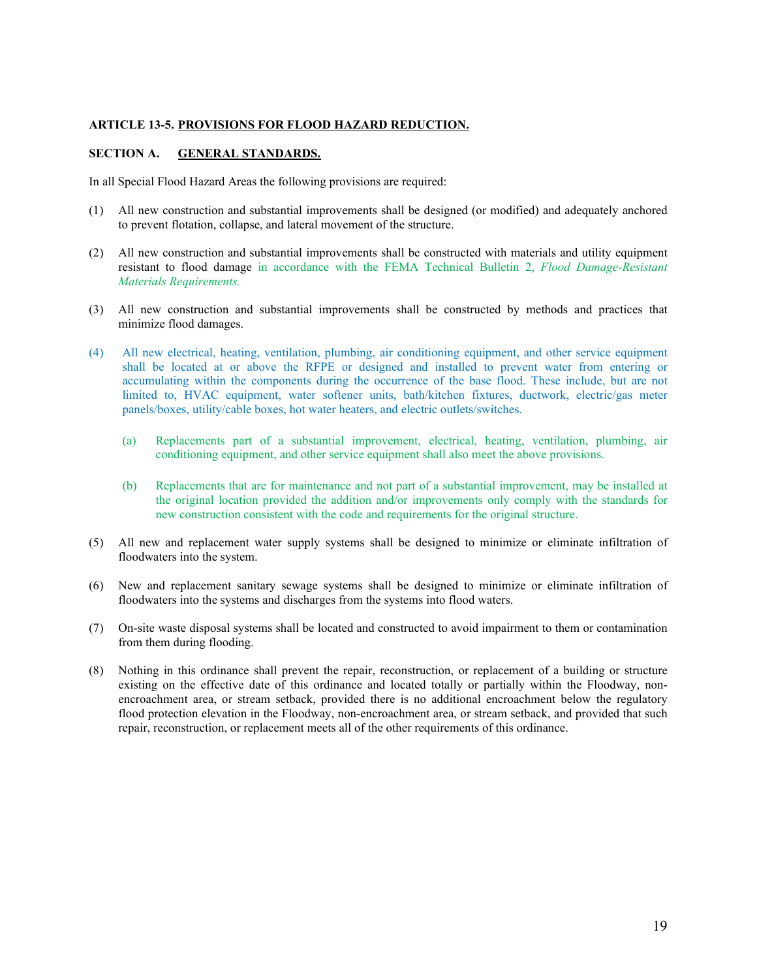#### **ARTICLE 13-5. PROVISIONS FOR FLOOD HAZARD REDUCTION.**

# **SECTION A. GENERAL STANDARDS.**

In all Special Flood Hazard Areas the following provisions are required:

- (1) All new construction and substantial improvements shall be designed (or modified) and adequately anchored to prevent flotation, collapse, and lateral movement of the structure.
- (2) All new construction and substantial improvements shall be constructed with materials and utility equipment resistant to flood damage in accordance with the FEMA Technical Bulletin 2, *Flood Damage-Resistant Materials Requirements.*
- (3) All new construction and substantial improvements shall be constructed by methods and practices that minimize flood damages.
- (4) All new electrical, heating, ventilation, plumbing, air conditioning equipment, and other service equipment shall be located at or above the RFPE or designed and installed to prevent water from entering or accumulating within the components during the occurrence of the base flood. These include, but are not limited to, HVAC equipment, water softener units, bath/kitchen fixtures, ductwork, electric/gas meter panels/boxes, utility/cable boxes, hot water heaters, and electric outlets/switches.
	- (a) Replacements part of a substantial improvement, electrical, heating, ventilation, plumbing, air conditioning equipment, and other service equipment shall also meet the above provisions.
	- (b) Replacements that are for maintenance and not part of a substantial improvement, may be installed at the original location provided the addition and/or improvements only comply with the standards for new construction consistent with the code and requirements for the original structure.
- (5) All new and replacement water supply systems shall be designed to minimize or eliminate infiltration of floodwaters into the system.
- (6) New and replacement sanitary sewage systems shall be designed to minimize or eliminate infiltration of floodwaters into the systems and discharges from the systems into flood waters.
- (7) On-site waste disposal systems shall be located and constructed to avoid impairment to them or contamination from them during flooding.
- (8) Nothing in this ordinance shall prevent the repair, reconstruction, or replacement of a building or structure existing on the effective date of this ordinance and located totally or partially within the Floodway, nonencroachment area, or stream setback, provided there is no additional encroachment below the regulatory flood protection elevation in the Floodway, non-encroachment area, or stream setback, and provided that such repair, reconstruction, or replacement meets all of the other requirements of this ordinance.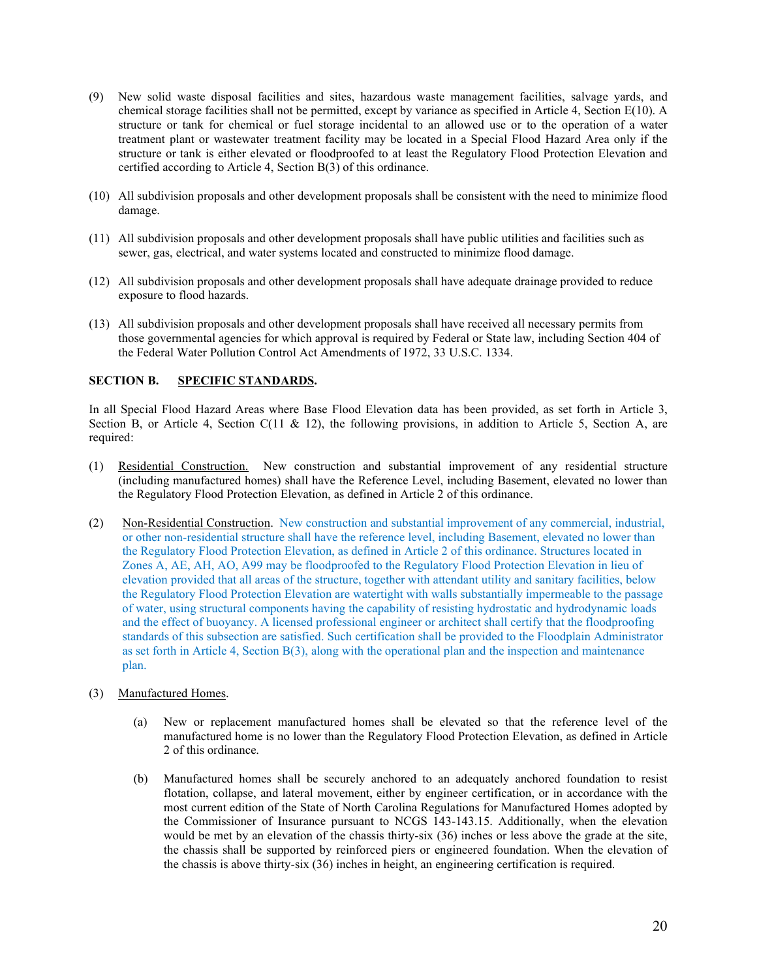- (9) New solid waste disposal facilities and sites, hazardous waste management facilities, salvage yards, and chemical storage facilities shall not be permitted, except by variance as specified in Article 4, Section E(10). A structure or tank for chemical or fuel storage incidental to an allowed use or to the operation of a water treatment plant or wastewater treatment facility may be located in a Special Flood Hazard Area only if the structure or tank is either elevated or floodproofed to at least the Regulatory Flood Protection Elevation and certified according to Article 4, Section B(3) of this ordinance.
- (10) All subdivision proposals and other development proposals shall be consistent with the need to minimize flood damage.
- (11) All subdivision proposals and other development proposals shall have public utilities and facilities such as sewer, gas, electrical, and water systems located and constructed to minimize flood damage.
- (12) All subdivision proposals and other development proposals shall have adequate drainage provided to reduce exposure to flood hazards.
- (13) All subdivision proposals and other development proposals shall have received all necessary permits from those governmental agencies for which approval is required by Federal or State law, including Section 404 of the Federal Water Pollution Control Act Amendments of 1972, 33 U.S.C. 1334.

# **SECTION B. SPECIFIC STANDARDS.**

In all Special Flood Hazard Areas where Base Flood Elevation data has been provided, as set forth in Article 3, Section B, or Article 4, Section C(11 & 12), the following provisions, in addition to Article 5, Section A, are required:

- (1) Residential Construction. New construction and substantial improvement of any residential structure (including manufactured homes) shall have the Reference Level, including Basement, elevated no lower than the Regulatory Flood Protection Elevation, as defined in Article 2 of this ordinance.
- (2) Non-Residential Construction. New construction and substantial improvement of any commercial, industrial, or other non-residential structure shall have the reference level, including Basement, elevated no lower than the Regulatory Flood Protection Elevation, as defined in Article 2 of this ordinance. Structures located in Zones A, AE, AH, AO, A99 may be floodproofed to the Regulatory Flood Protection Elevation in lieu of elevation provided that all areas of the structure, together with attendant utility and sanitary facilities, below the Regulatory Flood Protection Elevation are watertight with walls substantially impermeable to the passage of water, using structural components having the capability of resisting hydrostatic and hydrodynamic loads and the effect of buoyancy. A licensed professional engineer or architect shall certify that the floodproofing standards of this subsection are satisfied. Such certification shall be provided to the Floodplain Administrator as set forth in Article 4, Section B(3), along with the operational plan and the inspection and maintenance plan.
- (3) Manufactured Homes.
	- (a) New or replacement manufactured homes shall be elevated so that the reference level of the manufactured home is no lower than the Regulatory Flood Protection Elevation, as defined in Article 2 of this ordinance.
	- (b) Manufactured homes shall be securely anchored to an adequately anchored foundation to resist flotation, collapse, and lateral movement, either by engineer certification, or in accordance with the most current edition of the State of North Carolina Regulations for Manufactured Homes adopted by the Commissioner of Insurance pursuant to NCGS 143-143.15. Additionally, when the elevation would be met by an elevation of the chassis thirty-six (36) inches or less above the grade at the site, the chassis shall be supported by reinforced piers or engineered foundation. When the elevation of the chassis is above thirty-six (36) inches in height, an engineering certification is required.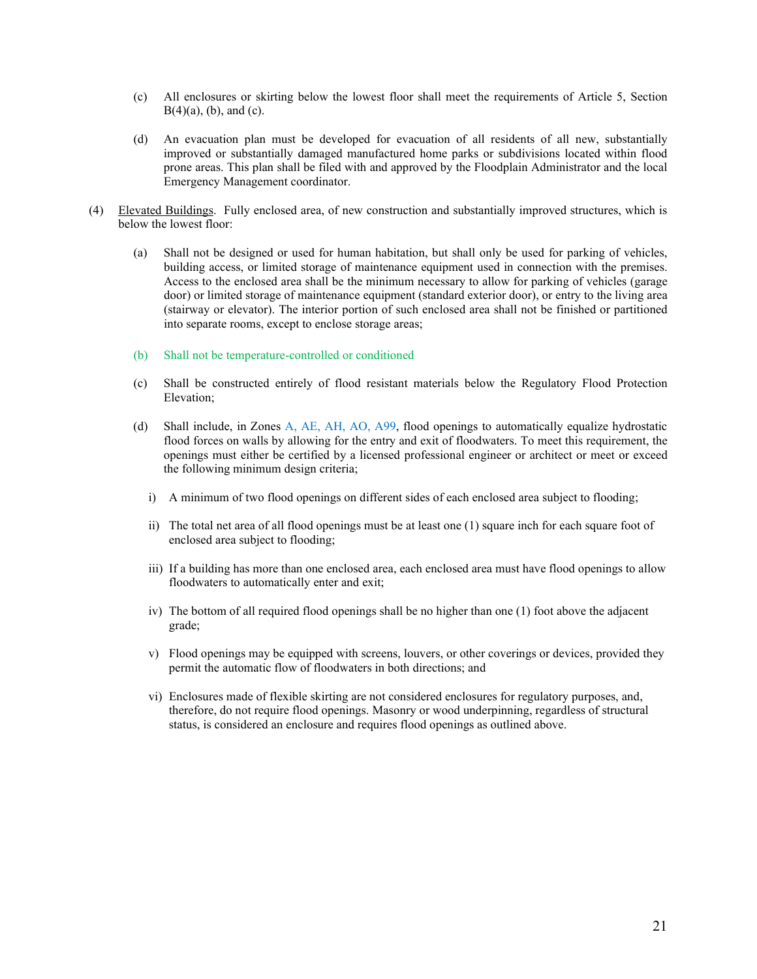- (c) All enclosures or skirting below the lowest floor shall meet the requirements of Article 5, Section  $B(4)(a)$ , (b), and (c).
- (d) An evacuation plan must be developed for evacuation of all residents of all new, substantially improved or substantially damaged manufactured home parks or subdivisions located within flood prone areas. This plan shall be filed with and approved by the Floodplain Administrator and the local Emergency Management coordinator.
- (4) Elevated Buildings. Fully enclosed area, of new construction and substantially improved structures, which is below the lowest floor:
	- (a) Shall not be designed or used for human habitation, but shall only be used for parking of vehicles, building access, or limited storage of maintenance equipment used in connection with the premises. Access to the enclosed area shall be the minimum necessary to allow for parking of vehicles (garage door) or limited storage of maintenance equipment (standard exterior door), or entry to the living area (stairway or elevator). The interior portion of such enclosed area shall not be finished or partitioned into separate rooms, except to enclose storage areas;
	- (b) Shall not be temperature-controlled or conditioned
	- (c) Shall be constructed entirely of flood resistant materials below the Regulatory Flood Protection Elevation;
	- (d) Shall include, in Zones A, AE, AH, AO, A99, flood openings to automatically equalize hydrostatic flood forces on walls by allowing for the entry and exit of floodwaters. To meet this requirement, the openings must either be certified by a licensed professional engineer or architect or meet or exceed the following minimum design criteria;
		- i) A minimum of two flood openings on different sides of each enclosed area subject to flooding;
		- ii) The total net area of all flood openings must be at least one (1) square inch for each square foot of enclosed area subject to flooding;
		- iii) If a building has more than one enclosed area, each enclosed area must have flood openings to allow floodwaters to automatically enter and exit;
		- iv) The bottom of all required flood openings shall be no higher than one (1) foot above the adjacent grade;
		- v) Flood openings may be equipped with screens, louvers, or other coverings or devices, provided they permit the automatic flow of floodwaters in both directions; and
		- vi) Enclosures made of flexible skirting are not considered enclosures for regulatory purposes, and, therefore, do not require flood openings. Masonry or wood underpinning, regardless of structural status, is considered an enclosure and requires flood openings as outlined above.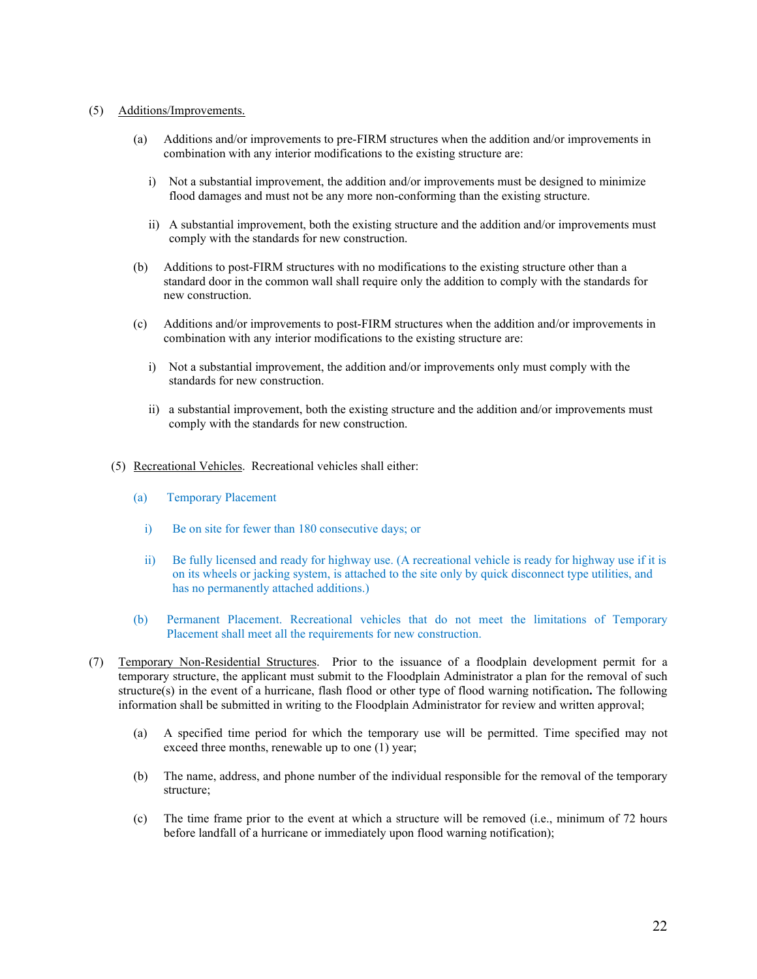#### (5) Additions/Improvements.

- (a) Additions and/or improvements to pre-FIRM structures when the addition and/or improvements in combination with any interior modifications to the existing structure are:
	- i) Not a substantial improvement, the addition and/or improvements must be designed to minimize flood damages and must not be any more non-conforming than the existing structure.
	- ii) A substantial improvement, both the existing structure and the addition and/or improvements must comply with the standards for new construction.
- (b) Additions to post-FIRM structures with no modifications to the existing structure other than a standard door in the common wall shall require only the addition to comply with the standards for new construction.
- (c) Additions and/or improvements to post-FIRM structures when the addition and/or improvements in combination with any interior modifications to the existing structure are:
	- i) Not a substantial improvement, the addition and/or improvements only must comply with the standards for new construction.
	- ii) a substantial improvement, both the existing structure and the addition and/or improvements must comply with the standards for new construction.
- (5) Recreational Vehicles. Recreational vehicles shall either:
	- (a) Temporary Placement
		- i) Be on site for fewer than 180 consecutive days; or
		- ii) Be fully licensed and ready for highway use. (A recreational vehicle is ready for highway use if it is on its wheels or jacking system, is attached to the site only by quick disconnect type utilities, and has no permanently attached additions.)
	- (b) Permanent Placement. Recreational vehicles that do not meet the limitations of Temporary Placement shall meet all the requirements for new construction.
- (7) Temporary Non-Residential Structures. Prior to the issuance of a floodplain development permit for a temporary structure, the applicant must submit to the Floodplain Administrator a plan for the removal of such structure(s) in the event of a hurricane, flash flood or other type of flood warning notification**.** The following information shall be submitted in writing to the Floodplain Administrator for review and written approval;
	- (a) A specified time period for which the temporary use will be permitted. Time specified may not exceed three months, renewable up to one (1) year;
	- (b) The name, address, and phone number of the individual responsible for the removal of the temporary structure;
	- (c) The time frame prior to the event at which a structure will be removed (i.e., minimum of 72 hours before landfall of a hurricane or immediately upon flood warning notification);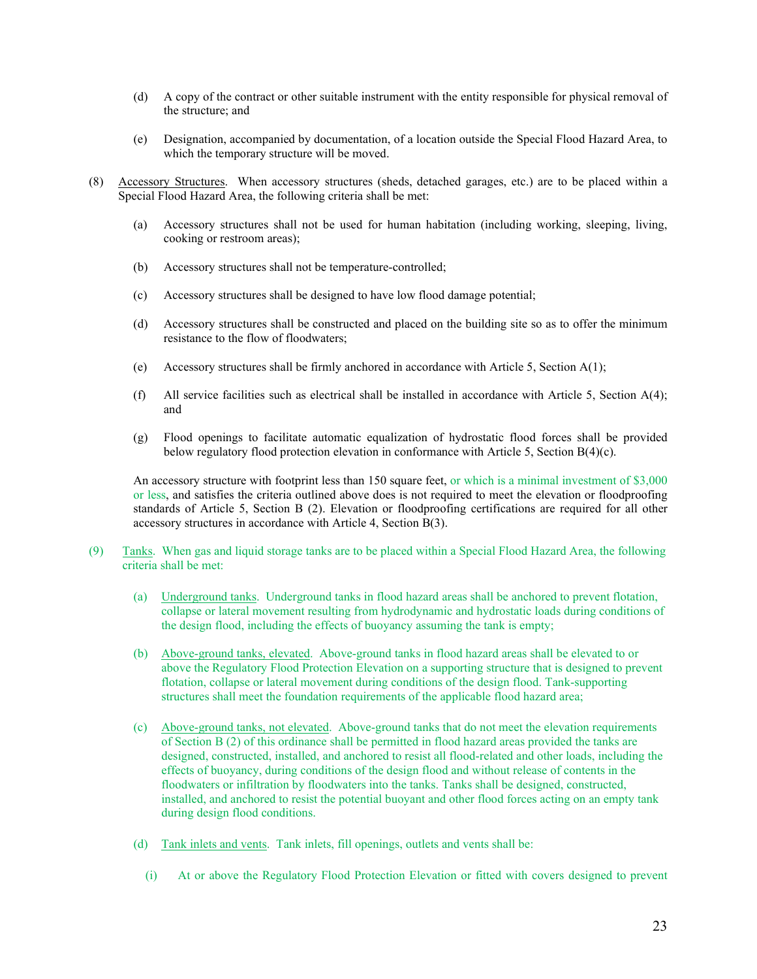- (d) A copy of the contract or other suitable instrument with the entity responsible for physical removal of the structure; and
- (e) Designation, accompanied by documentation, of a location outside the Special Flood Hazard Area, to which the temporary structure will be moved.
- (8) Accessory Structures. When accessory structures (sheds, detached garages, etc.) are to be placed within a Special Flood Hazard Area, the following criteria shall be met:
	- (a) Accessory structures shall not be used for human habitation (including working, sleeping, living, cooking or restroom areas);
	- (b) Accessory structures shall not be temperature-controlled;
	- (c) Accessory structures shall be designed to have low flood damage potential;
	- (d) Accessory structures shall be constructed and placed on the building site so as to offer the minimum resistance to the flow of floodwaters;
	- (e) Accessory structures shall be firmly anchored in accordance with Article 5, Section A(1);
	- (f) All service facilities such as electrical shall be installed in accordance with Article 5, Section  $A(4)$ ; and
	- (g) Flood openings to facilitate automatic equalization of hydrostatic flood forces shall be provided below regulatory flood protection elevation in conformance with Article 5, Section B(4)(c).

An accessory structure with footprint less than 150 square feet, or which is a minimal investment of \$3,000 or less, and satisfies the criteria outlined above does is not required to meet the elevation or floodproofing standards of Article 5, Section B (2). Elevation or floodproofing certifications are required for all other accessory structures in accordance with Article 4, Section B(3).

- (9) Tanks. When gas and liquid storage tanks are to be placed within a Special Flood Hazard Area, the following criteria shall be met:
	- (a) Underground tanks. Underground tanks in flood hazard areas shall be anchored to prevent flotation, collapse or lateral movement resulting from hydrodynamic and hydrostatic loads during conditions of the design flood, including the effects of buoyancy assuming the tank is empty;
	- (b) Above-ground tanks, elevated. Above-ground tanks in flood hazard areas shall be elevated to or above the Regulatory Flood Protection Elevation on a supporting structure that is designed to prevent flotation, collapse or lateral movement during conditions of the design flood. Tank-supporting structures shall meet the foundation requirements of the applicable flood hazard area;
	- (c) Above-ground tanks, not elevated. Above-ground tanks that do not meet the elevation requirements of Section B (2) of this ordinance shall be permitted in flood hazard areas provided the tanks are designed, constructed, installed, and anchored to resist all flood-related and other loads, including the effects of buoyancy, during conditions of the design flood and without release of contents in the floodwaters or infiltration by floodwaters into the tanks. Tanks shall be designed, constructed, installed, and anchored to resist the potential buoyant and other flood forces acting on an empty tank during design flood conditions.
	- (d) Tank inlets and vents. Tank inlets, fill openings, outlets and vents shall be:
		- (i) At or above the Regulatory Flood Protection Elevation or fitted with covers designed to prevent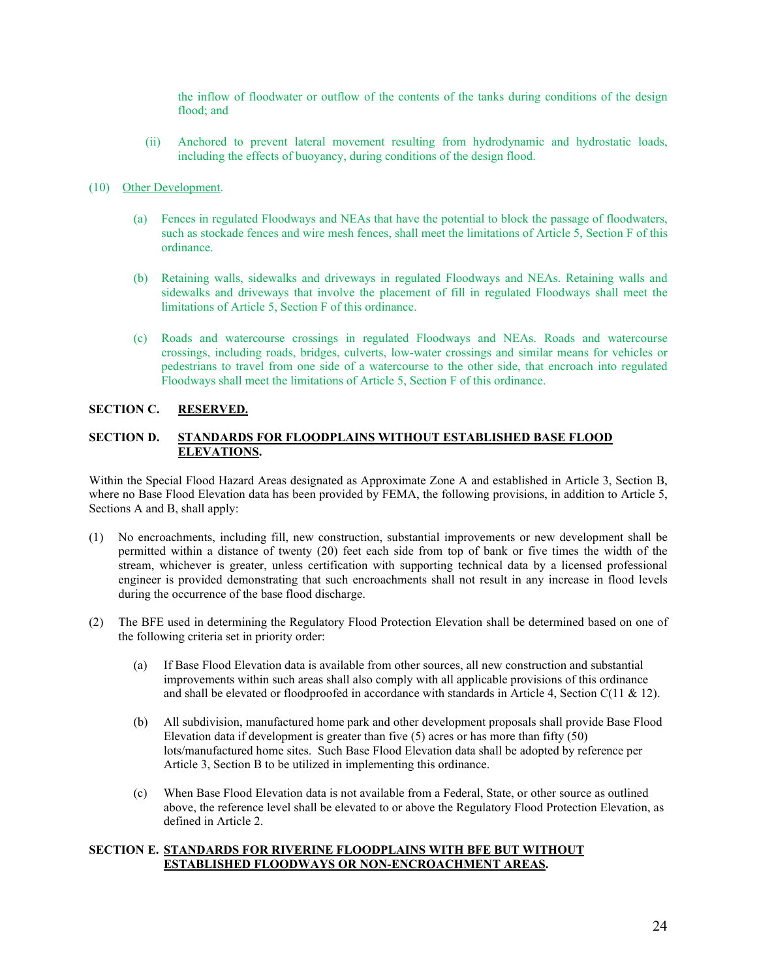the inflow of floodwater or outflow of the contents of the tanks during conditions of the design flood; and

(ii) Anchored to prevent lateral movement resulting from hydrodynamic and hydrostatic loads, including the effects of buoyancy, during conditions of the design flood.

#### (10) Other Development.

- (a) Fences in regulated Floodways and NEAs that have the potential to block the passage of floodwaters, such as stockade fences and wire mesh fences, shall meet the limitations of Article 5, Section F of this ordinance.
- (b) Retaining walls, sidewalks and driveways in regulated Floodways and NEAs. Retaining walls and sidewalks and driveways that involve the placement of fill in regulated Floodways shall meet the limitations of Article 5, Section F of this ordinance.
- (c) Roads and watercourse crossings in regulated Floodways and NEAs. Roads and watercourse crossings, including roads, bridges, culverts, low-water crossings and similar means for vehicles or pedestrians to travel from one side of a watercourse to the other side, that encroach into regulated Floodways shall meet the limitations of Article 5, Section F of this ordinance.

# **SECTION C. RESERVED.**

# **SECTION D. STANDARDS FOR FLOODPLAINS WITHOUT ESTABLISHED BASE FLOOD ELEVATIONS.**

Within the Special Flood Hazard Areas designated as Approximate Zone A and established in Article 3, Section B, where no Base Flood Elevation data has been provided by FEMA, the following provisions, in addition to Article 5, Sections A and B, shall apply:

- (1) No encroachments, including fill, new construction, substantial improvements or new development shall be permitted within a distance of twenty (20) feet each side from top of bank or five times the width of the stream, whichever is greater, unless certification with supporting technical data by a licensed professional engineer is provided demonstrating that such encroachments shall not result in any increase in flood levels during the occurrence of the base flood discharge.
- (2) The BFE used in determining the Regulatory Flood Protection Elevation shall be determined based on one of the following criteria set in priority order:
	- (a) If Base Flood Elevation data is available from other sources, all new construction and substantial improvements within such areas shall also comply with all applicable provisions of this ordinance and shall be elevated or floodproofed in accordance with standards in Article 4, Section C(11 & 12).
	- (b) All subdivision, manufactured home park and other development proposals shall provide Base Flood Elevation data if development is greater than five (5) acres or has more than fifty (50) lots/manufactured home sites. Such Base Flood Elevation data shall be adopted by reference per Article 3, Section B to be utilized in implementing this ordinance.
	- (c) When Base Flood Elevation data is not available from a Federal, State, or other source as outlined above, the reference level shall be elevated to or above the Regulatory Flood Protection Elevation, as defined in Article 2.

# **SECTION E. STANDARDS FOR RIVERINE FLOODPLAINS WITH BFE BUT WITHOUT ESTABLISHED FLOODWAYS OR NON-ENCROACHMENT AREAS.**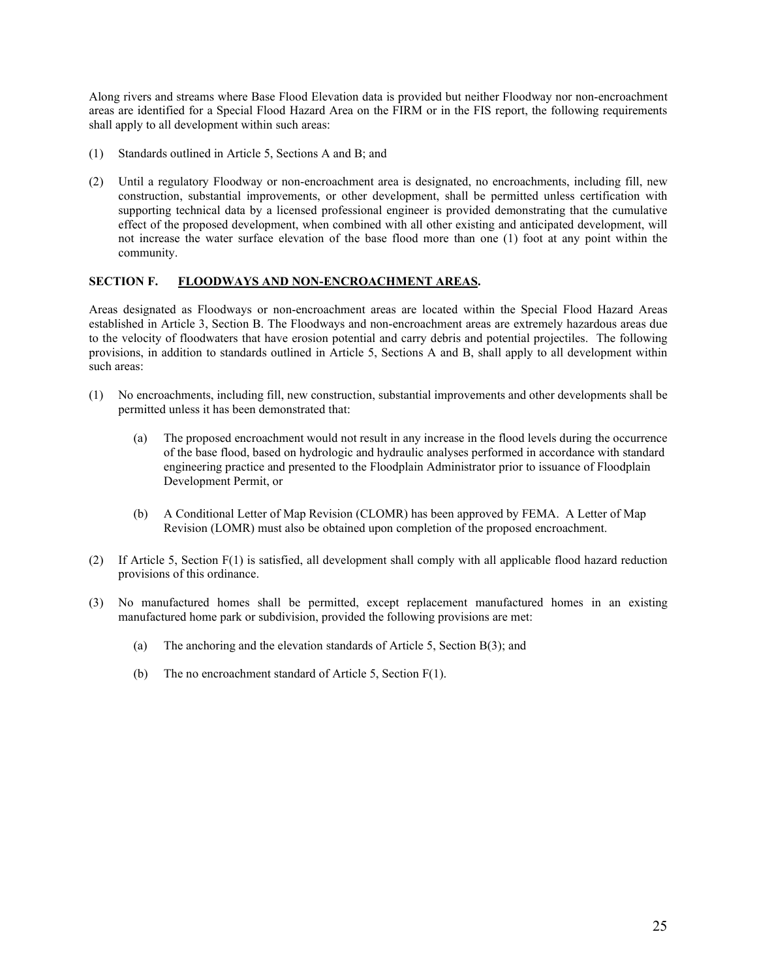Along rivers and streams where Base Flood Elevation data is provided but neither Floodway nor non-encroachment areas are identified for a Special Flood Hazard Area on the FIRM or in the FIS report, the following requirements shall apply to all development within such areas:

- (1) Standards outlined in Article 5, Sections A and B; and
- (2) Until a regulatory Floodway or non-encroachment area is designated, no encroachments, including fill, new construction, substantial improvements, or other development, shall be permitted unless certification with supporting technical data by a licensed professional engineer is provided demonstrating that the cumulative effect of the proposed development, when combined with all other existing and anticipated development, will not increase the water surface elevation of the base flood more than one (1) foot at any point within the community.

# **SECTION F. FLOODWAYS AND NON-ENCROACHMENT AREAS.**

Areas designated as Floodways or non-encroachment areas are located within the Special Flood Hazard Areas established in Article 3, Section B. The Floodways and non-encroachment areas are extremely hazardous areas due to the velocity of floodwaters that have erosion potential and carry debris and potential projectiles. The following provisions, in addition to standards outlined in Article 5, Sections A and B, shall apply to all development within such areas:

- (1) No encroachments, including fill, new construction, substantial improvements and other developments shall be permitted unless it has been demonstrated that:
	- (a) The proposed encroachment would not result in any increase in the flood levels during the occurrence of the base flood, based on hydrologic and hydraulic analyses performed in accordance with standard engineering practice and presented to the Floodplain Administrator prior to issuance of Floodplain Development Permit, or
	- (b) A Conditional Letter of Map Revision (CLOMR) has been approved by FEMA. A Letter of Map Revision (LOMR) must also be obtained upon completion of the proposed encroachment.
- (2) If Article 5, Section F(1) is satisfied, all development shall comply with all applicable flood hazard reduction provisions of this ordinance.
- (3) No manufactured homes shall be permitted, except replacement manufactured homes in an existing manufactured home park or subdivision, provided the following provisions are met:
	- (a) The anchoring and the elevation standards of Article 5, Section B(3); and
	- (b) The no encroachment standard of Article 5, Section F(1).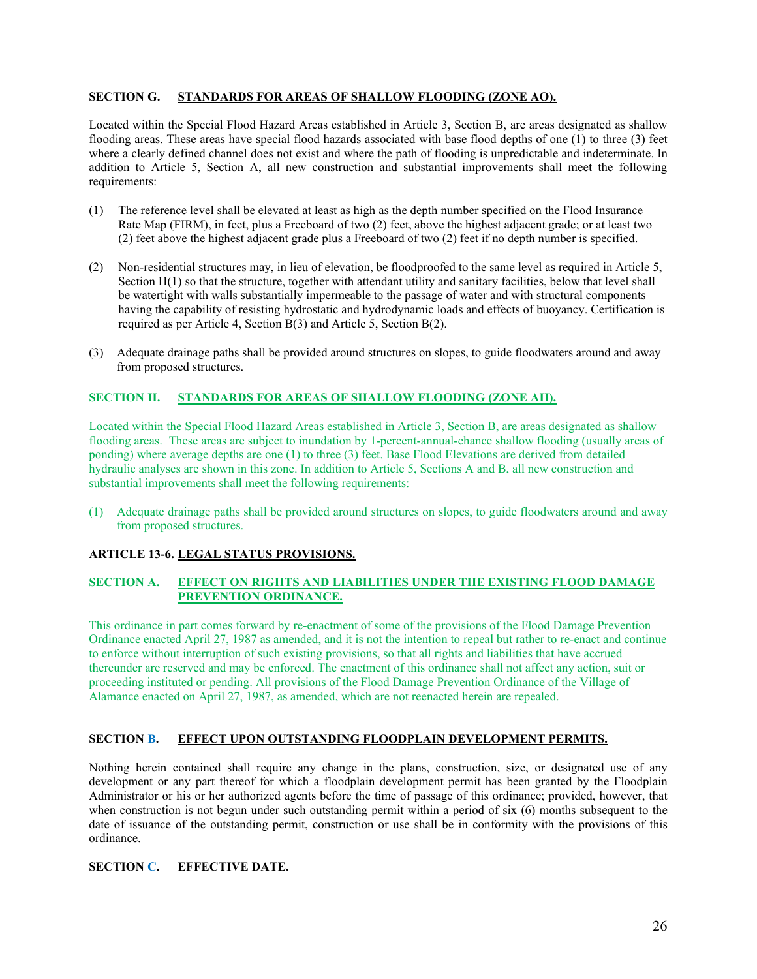# **SECTION G. STANDARDS FOR AREAS OF SHALLOW FLOODING (ZONE AO).**

Located within the Special Flood Hazard Areas established in Article 3, Section B, are areas designated as shallow flooding areas. These areas have special flood hazards associated with base flood depths of one (1) to three (3) feet where a clearly defined channel does not exist and where the path of flooding is unpredictable and indeterminate. In addition to Article 5, Section A, all new construction and substantial improvements shall meet the following requirements:

- (1) The reference level shall be elevated at least as high as the depth number specified on the Flood Insurance Rate Map (FIRM), in feet, plus a Freeboard of two (2) feet, above the highest adjacent grade; or at least two (2) feet above the highest adjacent grade plus a Freeboard of two (2) feet if no depth number is specified.
- (2) Non-residential structures may, in lieu of elevation, be floodproofed to the same level as required in Article 5, Section H(1) so that the structure, together with attendant utility and sanitary facilities, below that level shall be watertight with walls substantially impermeable to the passage of water and with structural components having the capability of resisting hydrostatic and hydrodynamic loads and effects of buoyancy. Certification is required as per Article 4, Section B(3) and Article 5, Section B(2).
- (3) Adequate drainage paths shall be provided around structures on slopes, to guide floodwaters around and away from proposed structures.

# **SECTION H. STANDARDS FOR AREAS OF SHALLOW FLOODING (ZONE AH).**

Located within the Special Flood Hazard Areas established in Article 3, Section B, are areas designated as shallow flooding areas. These areas are subject to inundation by 1-percent-annual-chance shallow flooding (usually areas of ponding) where average depths are one (1) to three (3) feet. Base Flood Elevations are derived from detailed hydraulic analyses are shown in this zone. In addition to Article 5, Sections A and B, all new construction and substantial improvements shall meet the following requirements:

(1) Adequate drainage paths shall be provided around structures on slopes, to guide floodwaters around and away from proposed structures.

# **ARTICLE 13-6. LEGAL STATUS PROVISIONS.**

# **SECTION A. EFFECT ON RIGHTS AND LIABILITIES UNDER THE EXISTING FLOOD DAMAGE PREVENTION ORDINANCE.**

This ordinance in part comes forward by re-enactment of some of the provisions of the Flood Damage Prevention Ordinance enacted April 27, 1987 as amended, and it is not the intention to repeal but rather to re-enact and continue to enforce without interruption of such existing provisions, so that all rights and liabilities that have accrued thereunder are reserved and may be enforced. The enactment of this ordinance shall not affect any action, suit or proceeding instituted or pending. All provisions of the Flood Damage Prevention Ordinance of the Village of Alamance enacted on April 27, 1987, as amended, which are not reenacted herein are repealed.

# **SECTION B. EFFECT UPON OUTSTANDING FLOODPLAIN DEVELOPMENT PERMITS.**

Nothing herein contained shall require any change in the plans, construction, size, or designated use of any development or any part thereof for which a floodplain development permit has been granted by the Floodplain Administrator or his or her authorized agents before the time of passage of this ordinance; provided, however, that when construction is not begun under such outstanding permit within a period of six (6) months subsequent to the date of issuance of the outstanding permit, construction or use shall be in conformity with the provisions of this ordinance.

# **SECTION C. EFFECTIVE DATE.**